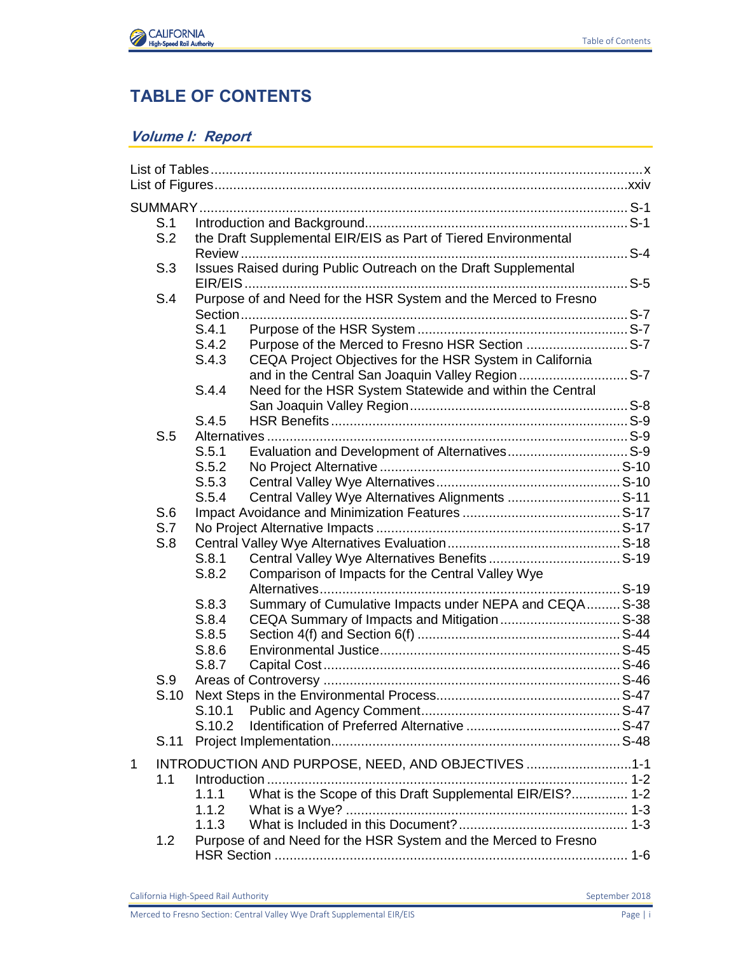

## **TABLE OF CONTENTS**

## **Volume I: Report**

|             | S.1  |                |                                                                                                               |  |
|-------------|------|----------------|---------------------------------------------------------------------------------------------------------------|--|
|             | S.2  |                | the Draft Supplemental EIR/EIS as Part of Tiered Environmental                                                |  |
|             | S.3  |                | Issues Raised during Public Outreach on the Draft Supplemental                                                |  |
|             | S.4  |                | Purpose of and Need for the HSR System and the Merced to Fresno                                               |  |
|             |      |                |                                                                                                               |  |
|             |      | S.4.1          |                                                                                                               |  |
|             |      | S.4.2          | Purpose of the Merced to Fresno HSR Section  S-7                                                              |  |
|             |      | S.4.3          | CEQA Project Objectives for the HSR System in California<br>and in the Central San Joaquin Valley Region  S-7 |  |
|             |      | S.4.4          | Need for the HSR System Statewide and within the Central                                                      |  |
|             |      | S.4.5          |                                                                                                               |  |
|             | S.5  |                |                                                                                                               |  |
|             |      | S.5.1          |                                                                                                               |  |
|             |      | S.5.2          |                                                                                                               |  |
|             |      | S.5.3          |                                                                                                               |  |
|             |      | S.5.4          | Central Valley Wye Alternatives Alignments  S-11                                                              |  |
|             | S.6  |                |                                                                                                               |  |
|             | S.7  |                |                                                                                                               |  |
|             | S.8  |                |                                                                                                               |  |
|             |      | S.8.1          |                                                                                                               |  |
|             |      | S.8.2          | Comparison of Impacts for the Central Valley Wye                                                              |  |
|             |      | S.8.3          |                                                                                                               |  |
|             |      |                | Summary of Cumulative Impacts under NEPA and CEQA S-38                                                        |  |
|             |      | S.8.4<br>S.8.5 |                                                                                                               |  |
|             |      |                |                                                                                                               |  |
|             |      | S.8.6<br>S.8.7 |                                                                                                               |  |
|             | S.9  |                |                                                                                                               |  |
|             |      |                |                                                                                                               |  |
|             | S.10 |                |                                                                                                               |  |
|             |      | S.10.1         |                                                                                                               |  |
|             |      | S.10.2         |                                                                                                               |  |
|             | S.11 |                |                                                                                                               |  |
| $\mathbf 1$ | 1.1  |                | INTRODUCTION AND PURPOSE, NEED, AND OBJECTIVES 1-1                                                            |  |
|             |      | 1.1.1          | What is the Scope of this Draft Supplemental EIR/EIS? 1-2                                                     |  |
|             |      | 1.1.2          |                                                                                                               |  |
|             |      | 1.1.3          |                                                                                                               |  |
|             | 1.2  |                | Purpose of and Need for the HSR System and the Merced to Fresno                                               |  |
|             |      |                |                                                                                                               |  |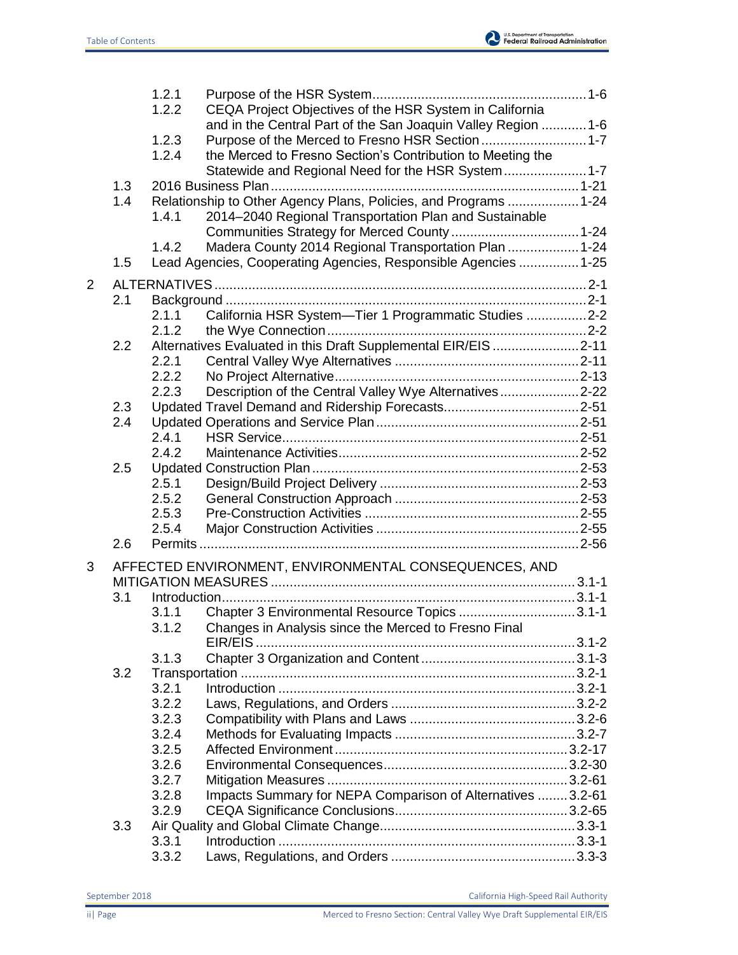

|   |     | 1.2.1 |                                                                  |  |
|---|-----|-------|------------------------------------------------------------------|--|
|   |     | 1.2.2 | CEQA Project Objectives of the HSR System in California          |  |
|   |     |       | and in the Central Part of the San Joaquin Valley Region  1-6    |  |
|   |     | 1.2.3 | Purpose of the Merced to Fresno HSR Section  1-7                 |  |
|   |     | 1.2.4 | the Merced to Fresno Section's Contribution to Meeting the       |  |
|   |     |       | Statewide and Regional Need for the HSR System 1-7               |  |
|   | 1.3 |       |                                                                  |  |
|   | 1.4 |       | Relationship to Other Agency Plans, Policies, and Programs  1-24 |  |
|   |     | 1.4.1 | 2014-2040 Regional Transportation Plan and Sustainable           |  |
|   |     |       |                                                                  |  |
|   | 1.5 | 1.4.2 | Madera County 2014 Regional Transportation Plan  1-24            |  |
|   |     |       | Lead Agencies, Cooperating Agencies, Responsible Agencies  1-25  |  |
| 2 |     |       |                                                                  |  |
|   | 2.1 |       |                                                                  |  |
|   |     | 2.1.1 | California HSR System-Tier 1 Programmatic Studies 2-2            |  |
|   |     | 2.1.2 |                                                                  |  |
|   | 2.2 |       | Alternatives Evaluated in this Draft Supplemental EIR/EIS 2-11   |  |
|   |     | 2.2.1 |                                                                  |  |
|   |     | 2.2.2 |                                                                  |  |
|   |     | 2.2.3 | Description of the Central Valley Wye Alternatives2-22           |  |
|   | 2.3 |       |                                                                  |  |
|   | 2.4 |       |                                                                  |  |
|   |     | 2.4.1 |                                                                  |  |
|   |     | 2.4.2 |                                                                  |  |
|   | 2.5 |       |                                                                  |  |
|   |     | 2.5.1 |                                                                  |  |
|   |     | 2.5.2 |                                                                  |  |
|   |     | 2.5.3 |                                                                  |  |
|   |     | 2.5.4 |                                                                  |  |
|   | 2.6 |       |                                                                  |  |
| 3 |     |       | AFFECTED ENVIRONMENT, ENVIRONMENTAL CONSEQUENCES, AND            |  |
|   |     |       |                                                                  |  |
|   | 3.1 |       |                                                                  |  |
|   |     | 3.1.1 | Chapter 3 Environmental Resource Topics 3.1-1                    |  |
|   |     |       | 3.1.2 Changes in Analysis since the Merced to Fresno Final       |  |
|   |     |       |                                                                  |  |
|   |     | 3.1.3 |                                                                  |  |
|   | 3.2 |       |                                                                  |  |
|   |     | 3.2.1 |                                                                  |  |
|   |     | 3.2.2 |                                                                  |  |
|   |     | 3.2.3 |                                                                  |  |
|   |     | 3.2.4 |                                                                  |  |
|   |     | 3.2.5 |                                                                  |  |
|   |     | 3.2.6 |                                                                  |  |
|   |     | 3.2.7 |                                                                  |  |
|   |     | 3.2.8 | Impacts Summary for NEPA Comparison of Alternatives  3.2-61      |  |
|   |     | 3.2.9 |                                                                  |  |
|   | 3.3 |       |                                                                  |  |
|   |     | 3.3.1 |                                                                  |  |
|   |     | 3.3.2 |                                                                  |  |
|   |     |       |                                                                  |  |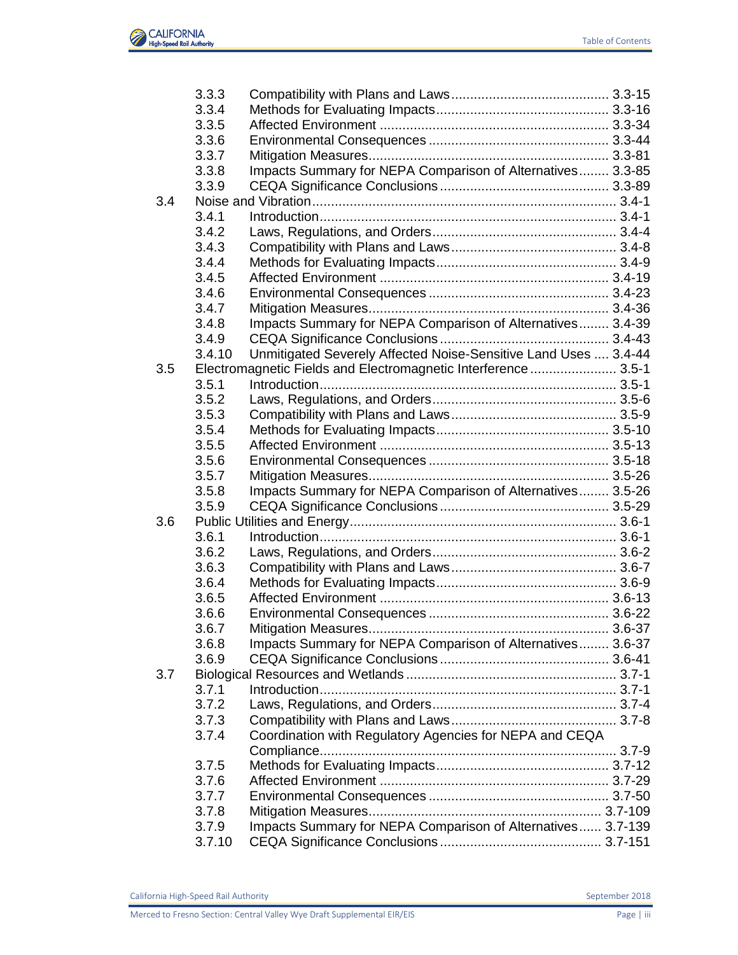

|     | 3.3.3  |                                                                 |  |
|-----|--------|-----------------------------------------------------------------|--|
|     | 3.3.4  |                                                                 |  |
|     | 3.3.5  |                                                                 |  |
|     | 3.3.6  |                                                                 |  |
|     | 3.3.7  |                                                                 |  |
|     | 3.3.8  | Impacts Summary for NEPA Comparison of Alternatives 3.3-85      |  |
|     | 3.3.9  |                                                                 |  |
| 3.4 |        |                                                                 |  |
|     | 3.4.1  |                                                                 |  |
|     | 3.4.2  |                                                                 |  |
|     | 3.4.3  |                                                                 |  |
|     | 3.4.4  |                                                                 |  |
|     | 3.4.5  |                                                                 |  |
|     | 3.4.6  |                                                                 |  |
|     | 3.4.7  |                                                                 |  |
|     | 3.4.8  | Impacts Summary for NEPA Comparison of Alternatives 3.4-39      |  |
|     | 3.4.9  |                                                                 |  |
|     | 3.4.10 | Unmitigated Severely Affected Noise-Sensitive Land Uses  3.4-44 |  |
| 3.5 |        | Electromagnetic Fields and Electromagnetic Interference 3.5-1   |  |
|     | 3.5.1  |                                                                 |  |
|     | 3.5.2  |                                                                 |  |
|     | 3.5.3  |                                                                 |  |
|     | 3.5.4  |                                                                 |  |
|     | 3.5.5  |                                                                 |  |
|     | 3.5.6  |                                                                 |  |
|     | 3.5.7  |                                                                 |  |
|     | 3.5.8  | Impacts Summary for NEPA Comparison of Alternatives 3.5-26      |  |
|     | 3.5.9  |                                                                 |  |
| 3.6 |        |                                                                 |  |
|     | 3.6.1  |                                                                 |  |
|     | 3.6.2  |                                                                 |  |
|     | 3.6.3  |                                                                 |  |
|     | 3.6.4  |                                                                 |  |
|     | 3.6.5  |                                                                 |  |
|     | 3.6.6  |                                                                 |  |
|     | 3.6.7  |                                                                 |  |
|     | 3.6.8  | Impacts Summary for NEPA Comparison of Alternatives 3.6-37      |  |
|     | 3.6.9  |                                                                 |  |
| 3.7 |        |                                                                 |  |
|     | 3.7.1  |                                                                 |  |
|     | 3.7.2  |                                                                 |  |
|     | 3.7.3  |                                                                 |  |
|     | 3.7.4  | Coordination with Regulatory Agencies for NEPA and CEQA         |  |
|     |        |                                                                 |  |
|     | 3.7.5  |                                                                 |  |
|     | 3.7.6  |                                                                 |  |
|     | 3.7.7  |                                                                 |  |
|     | 3.7.8  |                                                                 |  |
|     | 3.7.9  | Impacts Summary for NEPA Comparison of Alternatives 3.7-139     |  |
|     | 3.7.10 |                                                                 |  |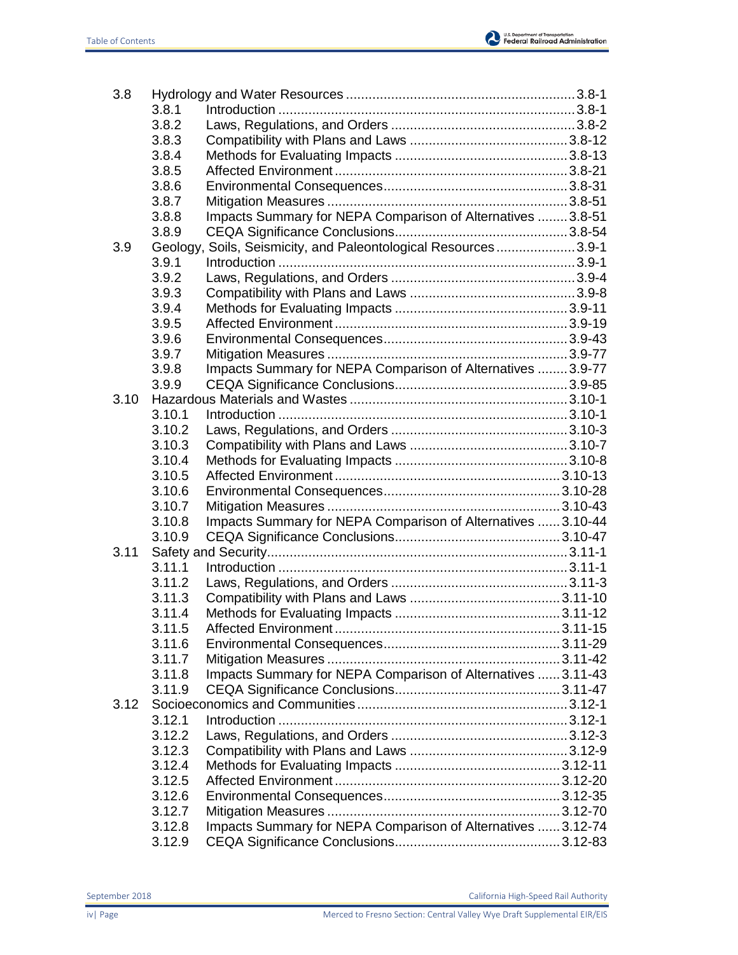

| 3.8  |        |                                                                |  |
|------|--------|----------------------------------------------------------------|--|
|      | 3.8.1  |                                                                |  |
|      | 3.8.2  |                                                                |  |
|      | 3.8.3  |                                                                |  |
|      | 3.8.4  |                                                                |  |
|      | 3.8.5  |                                                                |  |
|      | 3.8.6  |                                                                |  |
|      | 3.8.7  |                                                                |  |
|      | 3.8.8  | Impacts Summary for NEPA Comparison of Alternatives  3.8-51    |  |
|      | 3.8.9  |                                                                |  |
| 3.9  |        | Geology, Soils, Seismicity, and Paleontological Resources3.9-1 |  |
|      | 3.9.1  |                                                                |  |
|      | 3.9.2  |                                                                |  |
|      | 3.9.3  |                                                                |  |
|      | 3.9.4  |                                                                |  |
|      | 3.9.5  |                                                                |  |
|      | 3.9.6  |                                                                |  |
|      | 3.9.7  |                                                                |  |
|      | 3.9.8  | Impacts Summary for NEPA Comparison of Alternatives  3.9-77    |  |
|      | 3.9.9  |                                                                |  |
| 3.10 |        |                                                                |  |
|      | 3.10.1 |                                                                |  |
|      | 3.10.2 |                                                                |  |
|      | 3.10.3 |                                                                |  |
|      | 3.10.4 |                                                                |  |
|      | 3.10.5 |                                                                |  |
|      | 3.10.6 |                                                                |  |
|      | 3.10.7 |                                                                |  |
|      |        |                                                                |  |
|      | 3.10.8 | Impacts Summary for NEPA Comparison of Alternatives  3.10-44   |  |
|      | 3.10.9 |                                                                |  |
| 3.11 |        |                                                                |  |
|      | 3.11.1 |                                                                |  |
|      | 3.11.2 |                                                                |  |
|      | 3.11.3 |                                                                |  |
|      | 3.11.4 |                                                                |  |
|      | 3.11.5 |                                                                |  |
|      | 3.11.6 |                                                                |  |
|      | 3.11.7 |                                                                |  |
|      | 3.11.8 | Impacts Summary for NEPA Comparison of Alternatives  3.11-43   |  |
|      | 3.11.9 |                                                                |  |
| 3.12 |        |                                                                |  |
|      | 3.12.1 |                                                                |  |
|      | 3.12.2 |                                                                |  |
|      | 3.12.3 |                                                                |  |
|      | 3.12.4 |                                                                |  |
|      | 3.12.5 |                                                                |  |
|      | 3.12.6 |                                                                |  |
|      | 3.12.7 |                                                                |  |
|      | 3.12.8 | Impacts Summary for NEPA Comparison of Alternatives  3.12-74   |  |
|      | 3.12.9 |                                                                |  |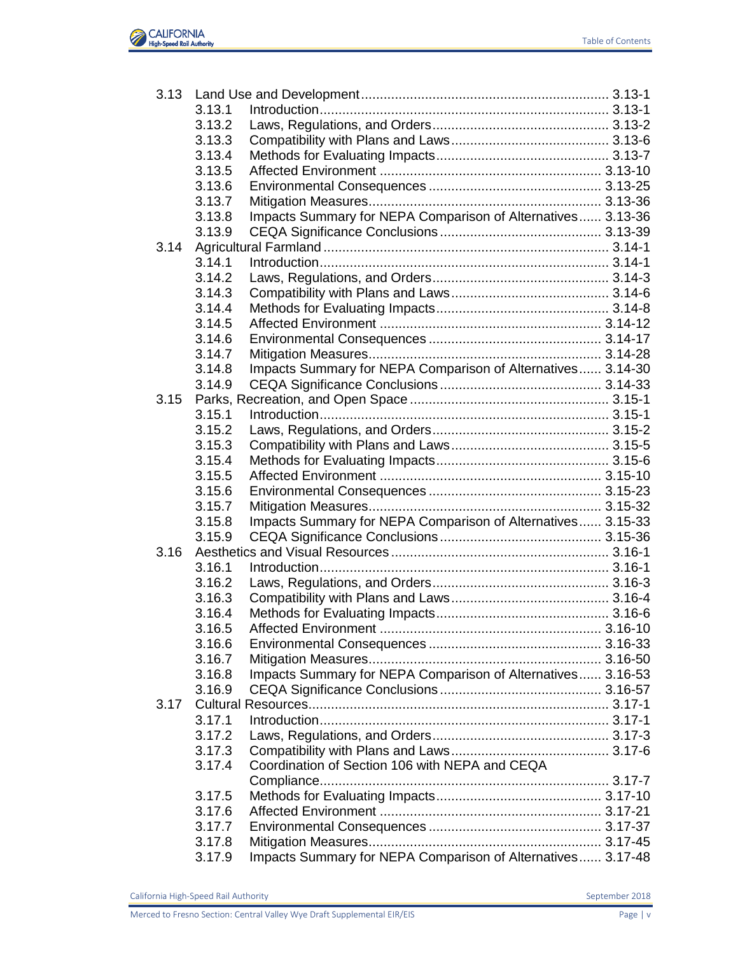

| 3.13 |        |                                                             |  |
|------|--------|-------------------------------------------------------------|--|
|      | 3.13.1 |                                                             |  |
|      | 3.13.2 |                                                             |  |
|      | 3.13.3 |                                                             |  |
|      | 3.13.4 |                                                             |  |
|      | 3.13.5 |                                                             |  |
|      | 3.13.6 |                                                             |  |
|      | 3.13.7 |                                                             |  |
|      | 3.13.8 | Impacts Summary for NEPA Comparison of Alternatives 3.13-36 |  |
|      | 3.13.9 |                                                             |  |
| 3.14 |        |                                                             |  |
|      | 3.14.1 |                                                             |  |
|      | 3.14.2 |                                                             |  |
|      | 3.14.3 |                                                             |  |
|      | 3.14.4 |                                                             |  |
|      | 3.14.5 |                                                             |  |
|      | 3.14.6 |                                                             |  |
|      | 3.14.7 |                                                             |  |
|      | 3.14.8 | Impacts Summary for NEPA Comparison of Alternatives 3.14-30 |  |
|      | 3.14.9 |                                                             |  |
| 3.15 |        |                                                             |  |
|      | 3.15.1 |                                                             |  |
|      | 3.15.2 |                                                             |  |
|      | 3.15.3 |                                                             |  |
|      | 3.15.4 |                                                             |  |
|      | 3.15.5 |                                                             |  |
|      | 3.15.6 |                                                             |  |
|      | 3.15.7 |                                                             |  |
|      | 3.15.8 | Impacts Summary for NEPA Comparison of Alternatives 3.15-33 |  |
|      | 3.15.9 |                                                             |  |
| 3.16 |        |                                                             |  |
|      | 3.16.1 |                                                             |  |
|      | 3.16.2 |                                                             |  |
|      | 3.16.3 |                                                             |  |
|      | 3.16.4 |                                                             |  |
|      | 3.16.5 |                                                             |  |
|      | 3.16.6 |                                                             |  |
|      | 3.16.7 |                                                             |  |
|      | 3.16.8 | Impacts Summary for NEPA Comparison of Alternatives 3.16-53 |  |
|      | 3.16.9 |                                                             |  |
| 3.17 |        |                                                             |  |
|      | 3.17.1 |                                                             |  |
|      | 3.17.2 |                                                             |  |
|      | 3.17.3 |                                                             |  |
|      | 3.17.4 | Coordination of Section 106 with NEPA and CEQA              |  |
|      |        |                                                             |  |
|      | 3.17.5 |                                                             |  |
|      | 3.17.6 |                                                             |  |
|      | 3.17.7 |                                                             |  |
|      | 3.17.8 |                                                             |  |
|      | 3.17.9 | Impacts Summary for NEPA Comparison of Alternatives 3.17-48 |  |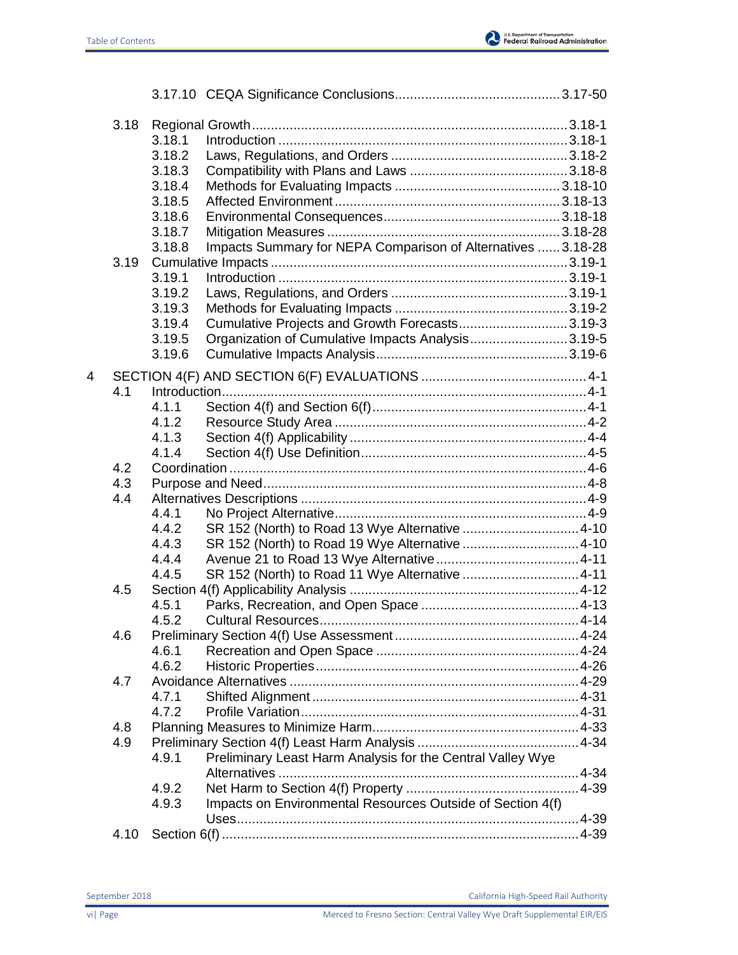

|   | 3.18 |        |                                                              |  |
|---|------|--------|--------------------------------------------------------------|--|
|   |      | 3.18.1 |                                                              |  |
|   |      | 3.18.2 |                                                              |  |
|   |      | 3.18.3 |                                                              |  |
|   |      | 3.18.4 |                                                              |  |
|   |      | 3.18.5 |                                                              |  |
|   |      | 3.18.6 |                                                              |  |
|   |      | 3.18.7 |                                                              |  |
|   |      | 3.18.8 | Impacts Summary for NEPA Comparison of Alternatives  3.18-28 |  |
|   |      |        |                                                              |  |
|   |      | 3.19.1 |                                                              |  |
|   |      | 3.19.2 |                                                              |  |
|   |      | 3.19.3 |                                                              |  |
|   |      | 3.19.4 | Cumulative Projects and Growth Forecasts3.19-3               |  |
|   |      | 3.19.5 | Organization of Cumulative Impacts Analysis3.19-5            |  |
|   |      | 3.19.6 |                                                              |  |
| 4 |      |        |                                                              |  |
|   | 4.1  |        |                                                              |  |
|   |      | 4.1.1  |                                                              |  |
|   |      | 4.1.2  |                                                              |  |
|   |      | 4.1.3  |                                                              |  |
|   |      | 4.1.4  |                                                              |  |
|   | 4.2  |        |                                                              |  |
|   | 4.3  |        |                                                              |  |
|   | 4.4  |        |                                                              |  |
|   |      | 4.4.1  |                                                              |  |
|   |      | 4.4.2  |                                                              |  |
|   |      | 4.4.3  |                                                              |  |
|   |      | 4.4.4  |                                                              |  |
|   |      | 4.4.5  |                                                              |  |
|   | 4.5  |        |                                                              |  |
|   |      | 4.5.1  |                                                              |  |
|   |      | 4.5.2  |                                                              |  |
|   | 4.6  |        |                                                              |  |
|   |      | 4.6.1  |                                                              |  |
|   |      | 4.6.2  |                                                              |  |
|   | 4.7  |        |                                                              |  |
|   |      | 4.7.1  |                                                              |  |
|   |      | 4.7.2  |                                                              |  |
|   | 4.8  |        |                                                              |  |
|   | 4.9  |        |                                                              |  |
|   |      | 4.9.1  | Preliminary Least Harm Analysis for the Central Valley Wye   |  |
|   |      |        |                                                              |  |
|   |      | 4.9.2  |                                                              |  |
|   |      | 4.9.3  | Impacts on Environmental Resources Outside of Section 4(f)   |  |
|   |      |        |                                                              |  |
|   | 4.10 |        |                                                              |  |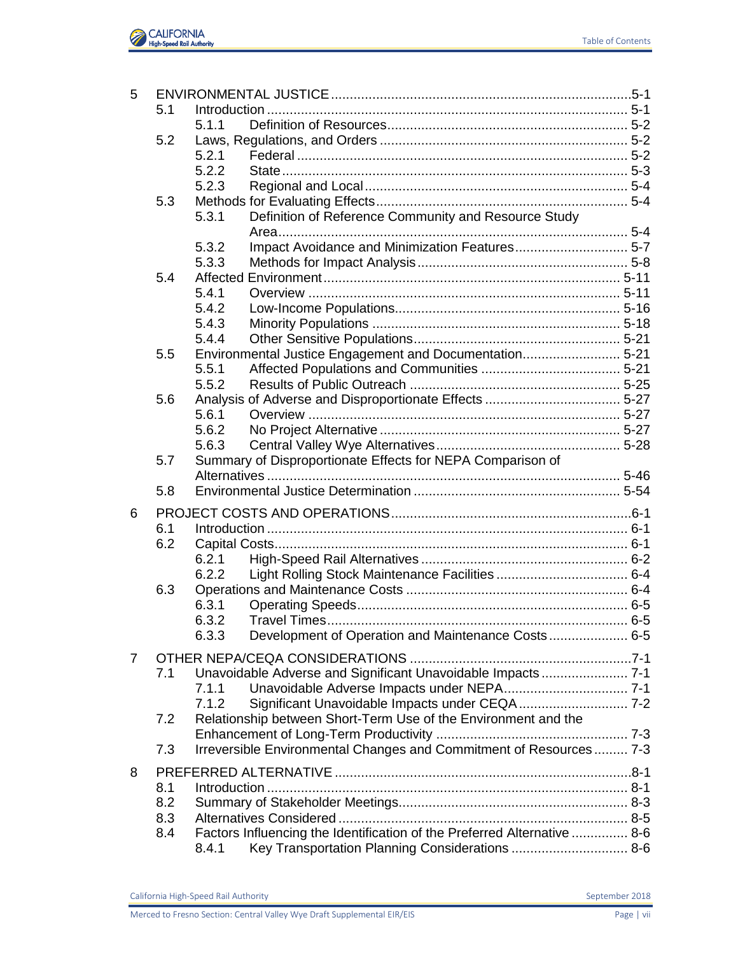

| 5 |     |                                                                          |  |
|---|-----|--------------------------------------------------------------------------|--|
|   | 5.1 |                                                                          |  |
|   |     | 5.1.1                                                                    |  |
|   | 5.2 |                                                                          |  |
|   |     | 5.2.1                                                                    |  |
|   |     | 5.2.2                                                                    |  |
|   |     | 5.2.3                                                                    |  |
|   | 5.3 |                                                                          |  |
|   |     | Definition of Reference Community and Resource Study<br>5.3.1            |  |
|   |     |                                                                          |  |
|   |     | Impact Avoidance and Minimization Features 5-7<br>5.3.2<br>5.3.3         |  |
|   | 5.4 |                                                                          |  |
|   |     |                                                                          |  |
|   |     | 5.4.1                                                                    |  |
|   |     | 5.4.2                                                                    |  |
|   |     | 5.4.3<br>5.4.4                                                           |  |
|   |     |                                                                          |  |
|   | 5.5 | Environmental Justice Engagement and Documentation 5-21<br>5.5.1         |  |
|   |     | 5.5.2                                                                    |  |
|   |     |                                                                          |  |
|   | 5.6 | 5.6.1                                                                    |  |
|   |     |                                                                          |  |
|   |     | 5.6.2                                                                    |  |
|   |     | 5.6.3                                                                    |  |
|   | 5.7 | Summary of Disproportionate Effects for NEPA Comparison of               |  |
|   |     |                                                                          |  |
|   | 5.8 |                                                                          |  |
| 6 |     |                                                                          |  |
|   | 6.1 |                                                                          |  |
|   | 6.2 |                                                                          |  |
|   |     | 6.2.1                                                                    |  |
|   |     | 6.2.2                                                                    |  |
|   | 6.3 |                                                                          |  |
|   |     | 6.3.1                                                                    |  |
|   |     | 6.3.2                                                                    |  |
|   |     | Development of Operation and Maintenance Costs 6-5<br>6.3.3              |  |
| 7 |     |                                                                          |  |
|   | 7.1 | Unavoidable Adverse and Significant Unavoidable Impacts 7-1              |  |
|   |     | 7.1.1                                                                    |  |
|   |     | 7.1.2                                                                    |  |
|   | 7.2 | Relationship between Short-Term Use of the Environment and the           |  |
|   |     |                                                                          |  |
|   | 7.3 | Irreversible Environmental Changes and Commitment of Resources 7-3       |  |
|   |     |                                                                          |  |
| 8 |     |                                                                          |  |
|   | 8.1 |                                                                          |  |
|   | 8.2 |                                                                          |  |
|   | 8.3 |                                                                          |  |
|   | 8.4 | Factors Influencing the Identification of the Preferred Alternative  8-6 |  |
|   |     | Key Transportation Planning Considerations  8-6<br>8.4.1                 |  |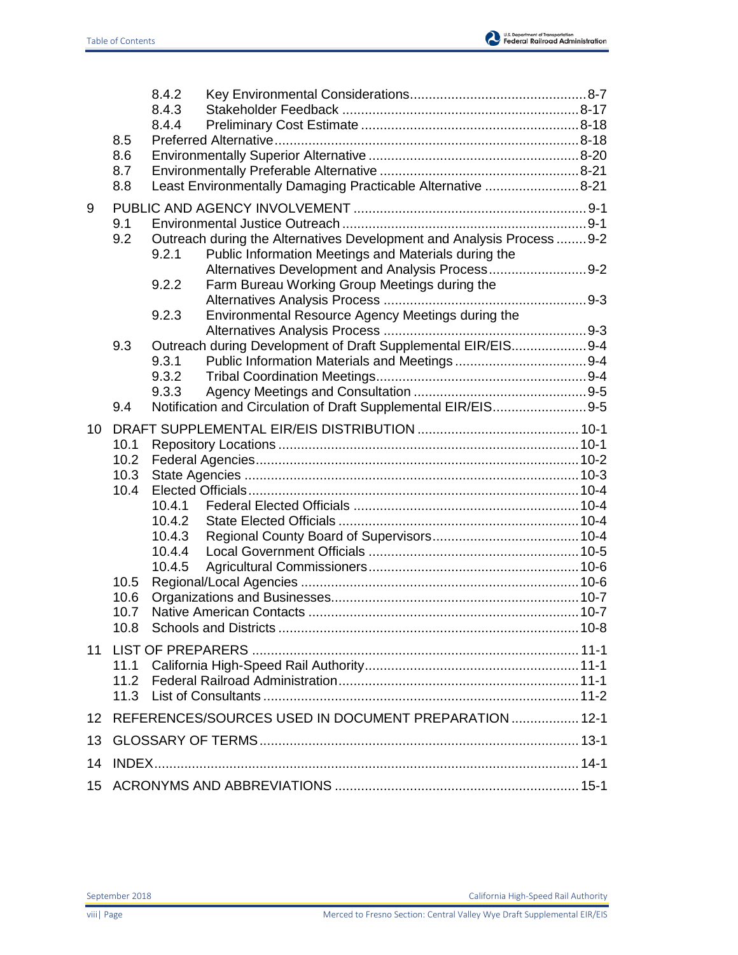

|         |              | 8.4.2                                                                                                                                   |  |
|---------|--------------|-----------------------------------------------------------------------------------------------------------------------------------------|--|
|         |              | 8.4.3<br>8.4.4                                                                                                                          |  |
|         | 8.5          |                                                                                                                                         |  |
|         | 8.6          |                                                                                                                                         |  |
|         | 8.7          |                                                                                                                                         |  |
|         | 8.8          | Least Environmentally Damaging Practicable Alternative 8-21                                                                             |  |
| 9       |              |                                                                                                                                         |  |
|         | 9.1          |                                                                                                                                         |  |
|         | 9.2          | Outreach during the Alternatives Development and Analysis Process  9-2<br>Public Information Meetings and Materials during the<br>9.2.1 |  |
|         |              | Alternatives Development and Analysis Process9-2<br>Farm Bureau Working Group Meetings during the<br>9.2.2                              |  |
|         |              | Environmental Resource Agency Meetings during the<br>9.2.3                                                                              |  |
|         | 9.3          | Outreach during Development of Draft Supplemental EIR/EIS9-4                                                                            |  |
|         |              | 9.3.1                                                                                                                                   |  |
|         |              | 9.3.2                                                                                                                                   |  |
|         |              | 9.3.3                                                                                                                                   |  |
|         | 9.4          | Notification and Circulation of Draft Supplemental EIR/EIS9-5                                                                           |  |
| 10      |              |                                                                                                                                         |  |
|         | 10.1         |                                                                                                                                         |  |
|         | 10.2<br>10.3 |                                                                                                                                         |  |
|         | 10.4         |                                                                                                                                         |  |
|         |              | 10.4.1                                                                                                                                  |  |
|         |              | 10.4.2                                                                                                                                  |  |
|         |              | 10.4.3                                                                                                                                  |  |
|         |              | 10.4.4                                                                                                                                  |  |
|         | 10.5         | 10.4.5                                                                                                                                  |  |
|         | 10.6         |                                                                                                                                         |  |
|         | 10.7         |                                                                                                                                         |  |
|         | 10.8         |                                                                                                                                         |  |
| 11      |              |                                                                                                                                         |  |
|         | 11.1         |                                                                                                                                         |  |
|         | 11.2         |                                                                                                                                         |  |
|         | 11.3         |                                                                                                                                         |  |
| $12 \,$ |              | REFERENCES/SOURCES USED IN DOCUMENT PREPARATION  12-1                                                                                   |  |
| 13      |              |                                                                                                                                         |  |
| 14      |              |                                                                                                                                         |  |
| 15      |              |                                                                                                                                         |  |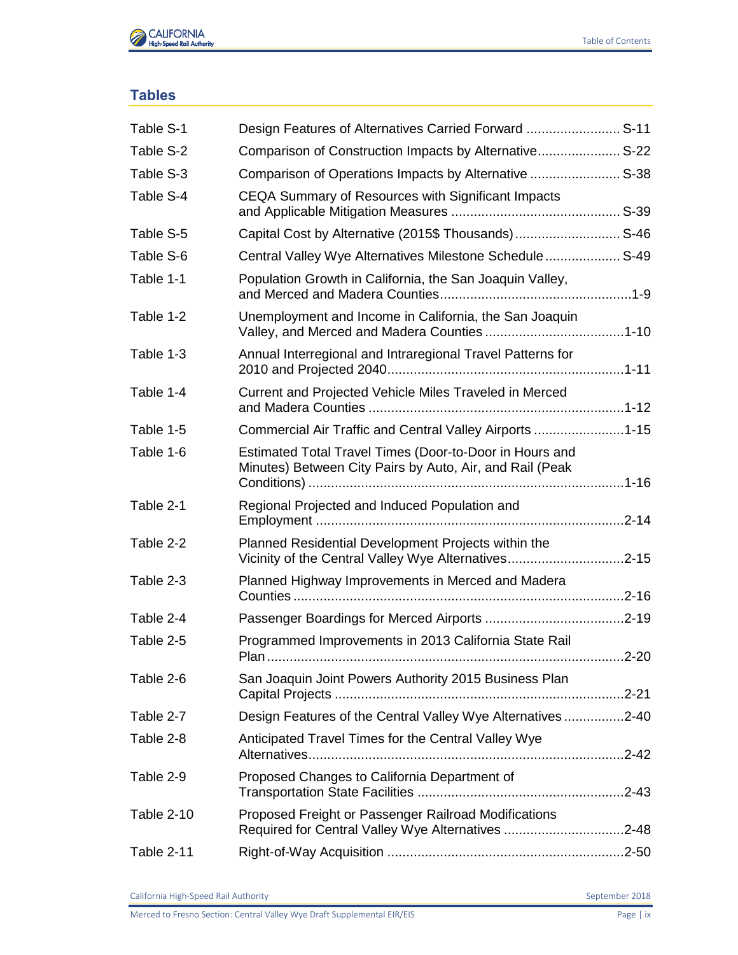

## **Tables**

| Table S-1  | Design Features of Alternatives Carried Forward  S-11                                                               |  |
|------------|---------------------------------------------------------------------------------------------------------------------|--|
| Table S-2  | Comparison of Construction Impacts by Alternative S-22                                                              |  |
| Table S-3  | Comparison of Operations Impacts by Alternative  S-38                                                               |  |
| Table S-4  | CEQA Summary of Resources with Significant Impacts                                                                  |  |
| Table S-5  | Capital Cost by Alternative (2015\$ Thousands) S-46                                                                 |  |
| Table S-6  | Central Valley Wye Alternatives Milestone Schedule S-49                                                             |  |
| Table 1-1  | Population Growth in California, the San Joaquin Valley,                                                            |  |
| Table 1-2  | Unemployment and Income in California, the San Joaquin                                                              |  |
| Table 1-3  | Annual Interregional and Intraregional Travel Patterns for                                                          |  |
| Table 1-4  | Current and Projected Vehicle Miles Traveled in Merced                                                              |  |
| Table 1-5  | Commercial Air Traffic and Central Valley Airports 1-15                                                             |  |
| Table 1-6  | Estimated Total Travel Times (Door-to-Door in Hours and<br>Minutes) Between City Pairs by Auto, Air, and Rail (Peak |  |
| Table 2-1  | Regional Projected and Induced Population and                                                                       |  |
| Table 2-2  | Planned Residential Development Projects within the<br>Vicinity of the Central Valley Wye Alternatives2-15          |  |
| Table 2-3  | Planned Highway Improvements in Merced and Madera                                                                   |  |
| Table 2-4  |                                                                                                                     |  |
| Table 2-5  | Programmed Improvements in 2013 California State Rail                                                               |  |
| Table 2-6  | San Joaquin Joint Powers Authority 2015 Business Plan                                                               |  |
| Table 2-7  | Design Features of the Central Valley Wye Alternatives2-40                                                          |  |
| Table 2-8  | Anticipated Travel Times for the Central Valley Wye                                                                 |  |
| Table 2-9  | Proposed Changes to California Department of                                                                        |  |
| Table 2-10 | Proposed Freight or Passenger Railroad Modifications<br>Required for Central Valley Wye Alternatives 2-48           |  |
| Table 2-11 |                                                                                                                     |  |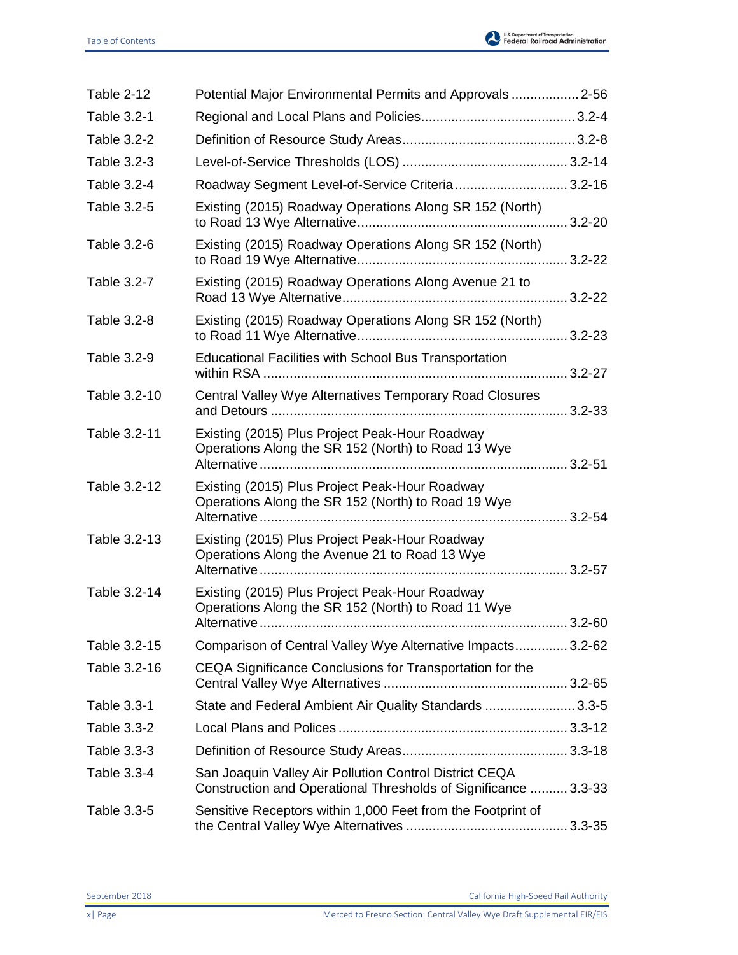

| Table 2-12   | Potential Major Environmental Permits and Approvals  2-56                                                                 |  |
|--------------|---------------------------------------------------------------------------------------------------------------------------|--|
| Table 3.2-1  |                                                                                                                           |  |
| Table 3.2-2  |                                                                                                                           |  |
| Table 3.2-3  |                                                                                                                           |  |
| Table 3.2-4  | Roadway Segment Level-of-Service Criteria 3.2-16                                                                          |  |
| Table 3.2-5  | Existing (2015) Roadway Operations Along SR 152 (North)                                                                   |  |
| Table 3.2-6  | Existing (2015) Roadway Operations Along SR 152 (North)                                                                   |  |
| Table 3.2-7  | Existing (2015) Roadway Operations Along Avenue 21 to                                                                     |  |
| Table 3.2-8  | Existing (2015) Roadway Operations Along SR 152 (North)                                                                   |  |
| Table 3.2-9  | <b>Educational Facilities with School Bus Transportation</b>                                                              |  |
| Table 3.2-10 | Central Valley Wye Alternatives Temporary Road Closures                                                                   |  |
| Table 3.2-11 | Existing (2015) Plus Project Peak-Hour Roadway<br>Operations Along the SR 152 (North) to Road 13 Wye                      |  |
| Table 3.2-12 | Existing (2015) Plus Project Peak-Hour Roadway<br>Operations Along the SR 152 (North) to Road 19 Wye                      |  |
| Table 3.2-13 | Existing (2015) Plus Project Peak-Hour Roadway<br>Operations Along the Avenue 21 to Road 13 Wye                           |  |
| Table 3.2-14 | Existing (2015) Plus Project Peak-Hour Roadway<br>Operations Along the SR 152 (North) to Road 11 Wye                      |  |
| Table 3.2-15 | Comparison of Central Valley Wye Alternative Impacts 3.2-62                                                               |  |
| Table 3.2-16 | CEQA Significance Conclusions for Transportation for the                                                                  |  |
| Table 3.3-1  | State and Federal Ambient Air Quality Standards  3.3-5                                                                    |  |
| Table 3.3-2  |                                                                                                                           |  |
| Table 3.3-3  |                                                                                                                           |  |
| Table 3.3-4  | San Joaquin Valley Air Pollution Control District CEQA<br>Construction and Operational Thresholds of Significance  3.3-33 |  |
| Table 3.3-5  | Sensitive Receptors within 1,000 Feet from the Footprint of                                                               |  |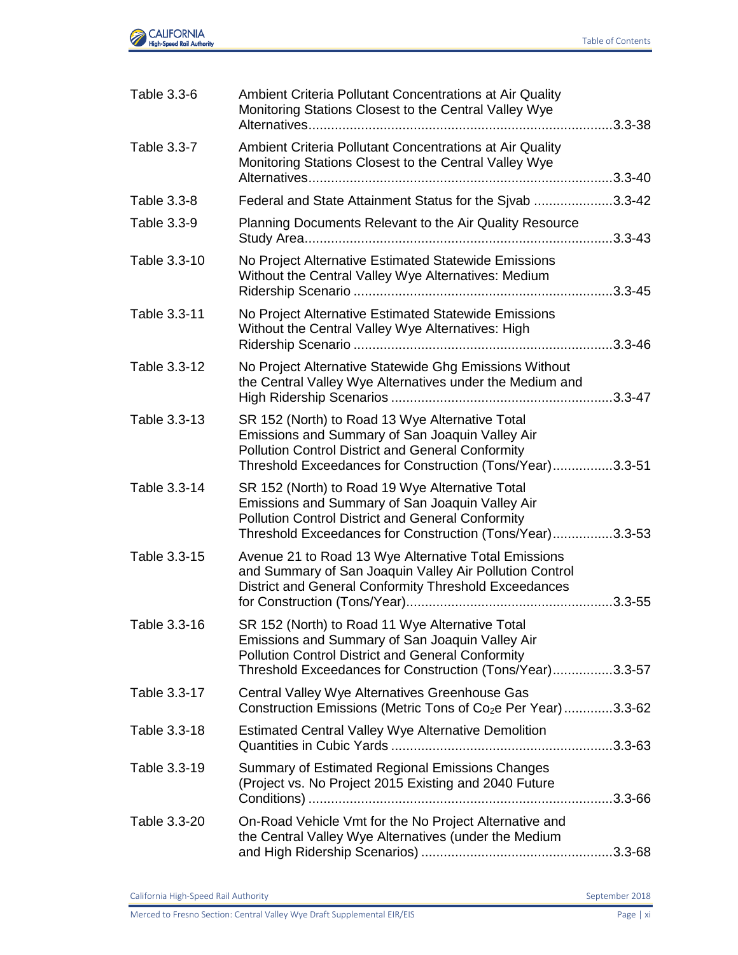

| Table 3.3-6  | Ambient Criteria Pollutant Concentrations at Air Quality<br>Monitoring Stations Closest to the Central Valley Wye<br>3.3-38                                                                                                |
|--------------|----------------------------------------------------------------------------------------------------------------------------------------------------------------------------------------------------------------------------|
| Table 3.3-7  | Ambient Criteria Pollutant Concentrations at Air Quality<br>Monitoring Stations Closest to the Central Valley Wye                                                                                                          |
| Table 3.3-8  | Federal and State Attainment Status for the Sjvab 3.3-42                                                                                                                                                                   |
| Table 3.3-9  | Planning Documents Relevant to the Air Quality Resource                                                                                                                                                                    |
| Table 3.3-10 | No Project Alternative Estimated Statewide Emissions<br>Without the Central Valley Wye Alternatives: Medium                                                                                                                |
| Table 3.3-11 | No Project Alternative Estimated Statewide Emissions<br>Without the Central Valley Wye Alternatives: High                                                                                                                  |
| Table 3.3-12 | No Project Alternative Statewide Ghg Emissions Without<br>the Central Valley Wye Alternatives under the Medium and                                                                                                         |
| Table 3.3-13 | SR 152 (North) to Road 13 Wye Alternative Total<br>Emissions and Summary of San Joaquin Valley Air<br><b>Pollution Control District and General Conformity</b><br>Threshold Exceedances for Construction (Tons/Year)3.3-51 |
| Table 3.3-14 | SR 152 (North) to Road 19 Wye Alternative Total<br>Emissions and Summary of San Joaquin Valley Air<br><b>Pollution Control District and General Conformity</b><br>Threshold Exceedances for Construction (Tons/Year)3.3-53 |
| Table 3.3-15 | Avenue 21 to Road 13 Wye Alternative Total Emissions<br>and Summary of San Joaquin Valley Air Pollution Control<br>District and General Conformity Threshold Exceedances                                                   |
| Table 3.3-16 | SR 152 (North) to Road 11 Wye Alternative Total<br>Emissions and Summary of San Joaquin Valley Air<br><b>Pollution Control District and General Conformity</b><br>Threshold Exceedances for Construction (Tons/Year)3.3-57 |
| Table 3.3-17 | Central Valley Wye Alternatives Greenhouse Gas<br>Construction Emissions (Metric Tons of Co <sub>2</sub> e Per Year)3.3-62                                                                                                 |
| Table 3.3-18 | Estimated Central Valley Wye Alternative Demolition                                                                                                                                                                        |
| Table 3.3-19 | Summary of Estimated Regional Emissions Changes<br>(Project vs. No Project 2015 Existing and 2040 Future                                                                                                                   |
| Table 3.3-20 | On-Road Vehicle Vmt for the No Project Alternative and<br>the Central Valley Wye Alternatives (under the Medium                                                                                                            |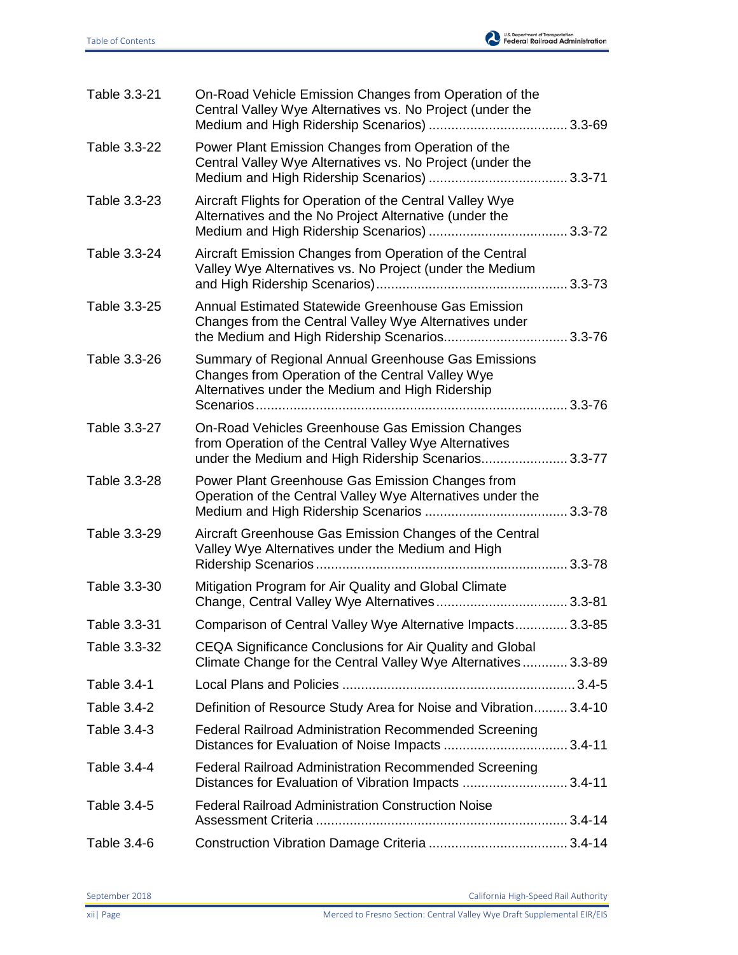

| Table 3.3-21       | On-Road Vehicle Emission Changes from Operation of the<br>Central Valley Wye Alternatives vs. No Project (under the                                               |  |
|--------------------|-------------------------------------------------------------------------------------------------------------------------------------------------------------------|--|
| Table 3.3-22       | Power Plant Emission Changes from Operation of the<br>Central Valley Wye Alternatives vs. No Project (under the                                                   |  |
| Table 3.3-23       | Aircraft Flights for Operation of the Central Valley Wye<br>Alternatives and the No Project Alternative (under the                                                |  |
| Table 3.3-24       | Aircraft Emission Changes from Operation of the Central<br>Valley Wye Alternatives vs. No Project (under the Medium                                               |  |
| Table 3.3-25       | Annual Estimated Statewide Greenhouse Gas Emission<br>Changes from the Central Valley Wye Alternatives under                                                      |  |
| Table 3.3-26       | Summary of Regional Annual Greenhouse Gas Emissions<br>Changes from Operation of the Central Valley Wye<br>Alternatives under the Medium and High Ridership       |  |
| Table 3.3-27       | On-Road Vehicles Greenhouse Gas Emission Changes<br>from Operation of the Central Valley Wye Alternatives<br>under the Medium and High Ridership Scenarios 3.3-77 |  |
| Table 3.3-28       | Power Plant Greenhouse Gas Emission Changes from<br>Operation of the Central Valley Wye Alternatives under the                                                    |  |
| Table 3.3-29       | Aircraft Greenhouse Gas Emission Changes of the Central<br>Valley Wye Alternatives under the Medium and High                                                      |  |
| Table 3.3-30       | Mitigation Program for Air Quality and Global Climate                                                                                                             |  |
| Table 3.3-31       | Comparison of Central Valley Wye Alternative Impacts 3.3-85                                                                                                       |  |
| Table 3.3-32       | CEQA Significance Conclusions for Air Quality and Global<br>Climate Change for the Central Valley Wye Alternatives 3.3-89                                         |  |
| Table 3.4-1        |                                                                                                                                                                   |  |
| <b>Table 3.4-2</b> | Definition of Resource Study Area for Noise and Vibration 3.4-10                                                                                                  |  |
| Table 3.4-3        | <b>Federal Railroad Administration Recommended Screening</b>                                                                                                      |  |
| Table 3.4-4        | <b>Federal Railroad Administration Recommended Screening</b><br>Distances for Evaluation of Vibration Impacts  3.4-11                                             |  |
| Table 3.4-5        | <b>Federal Railroad Administration Construction Noise</b>                                                                                                         |  |
| Table 3.4-6        |                                                                                                                                                                   |  |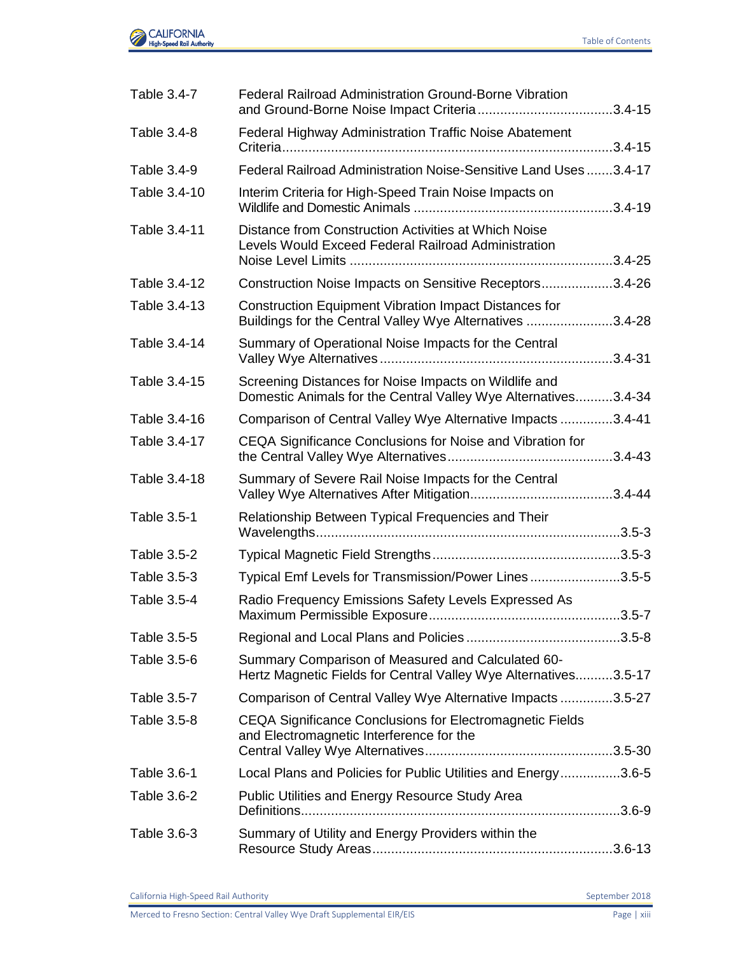

| Table 3.4-7  | <b>Federal Railroad Administration Ground-Borne Vibration</b>                                                            |  |
|--------------|--------------------------------------------------------------------------------------------------------------------------|--|
| Table 3.4-8  | Federal Highway Administration Traffic Noise Abatement                                                                   |  |
| Table 3.4-9  | Federal Railroad Administration Noise-Sensitive Land Uses 3.4-17                                                         |  |
| Table 3.4-10 | Interim Criteria for High-Speed Train Noise Impacts on                                                                   |  |
| Table 3.4-11 | Distance from Construction Activities at Which Noise<br>Levels Would Exceed Federal Railroad Administration              |  |
| Table 3.4-12 | Construction Noise Impacts on Sensitive Receptors3.4-26                                                                  |  |
| Table 3.4-13 | <b>Construction Equipment Vibration Impact Distances for</b><br>Buildings for the Central Valley Wye Alternatives 3.4-28 |  |
| Table 3.4-14 | Summary of Operational Noise Impacts for the Central                                                                     |  |
| Table 3.4-15 | Screening Distances for Noise Impacts on Wildlife and<br>Domestic Animals for the Central Valley Wye Alternatives3.4-34  |  |
| Table 3.4-16 | Comparison of Central Valley Wye Alternative Impacts 3.4-41                                                              |  |
| Table 3.4-17 | CEQA Significance Conclusions for Noise and Vibration for                                                                |  |
| Table 3.4-18 | Summary of Severe Rail Noise Impacts for the Central                                                                     |  |
| Table 3.5-1  | Relationship Between Typical Frequencies and Their                                                                       |  |
| Table 3.5-2  |                                                                                                                          |  |
| Table 3.5-3  | Typical Emf Levels for Transmission/Power Lines3.5-5                                                                     |  |
| Table 3.5-4  | Radio Frequency Emissions Safety Levels Expressed As                                                                     |  |
| Table 3.5-5  |                                                                                                                          |  |
| Table 3.5-6  | Summary Comparison of Measured and Calculated 60-<br>Hertz Magnetic Fields for Central Valley Wye Alternatives3.5-17     |  |
| Table 3.5-7  | Comparison of Central Valley Wye Alternative Impacts 3.5-27                                                              |  |
| Table 3.5-8  | CEQA Significance Conclusions for Electromagnetic Fields<br>and Electromagnetic Interference for the                     |  |
| Table 3.6-1  | Local Plans and Policies for Public Utilities and Energy3.6-5                                                            |  |
| Table 3.6-2  | Public Utilities and Energy Resource Study Area                                                                          |  |
| Table 3.6-3  | Summary of Utility and Energy Providers within the                                                                       |  |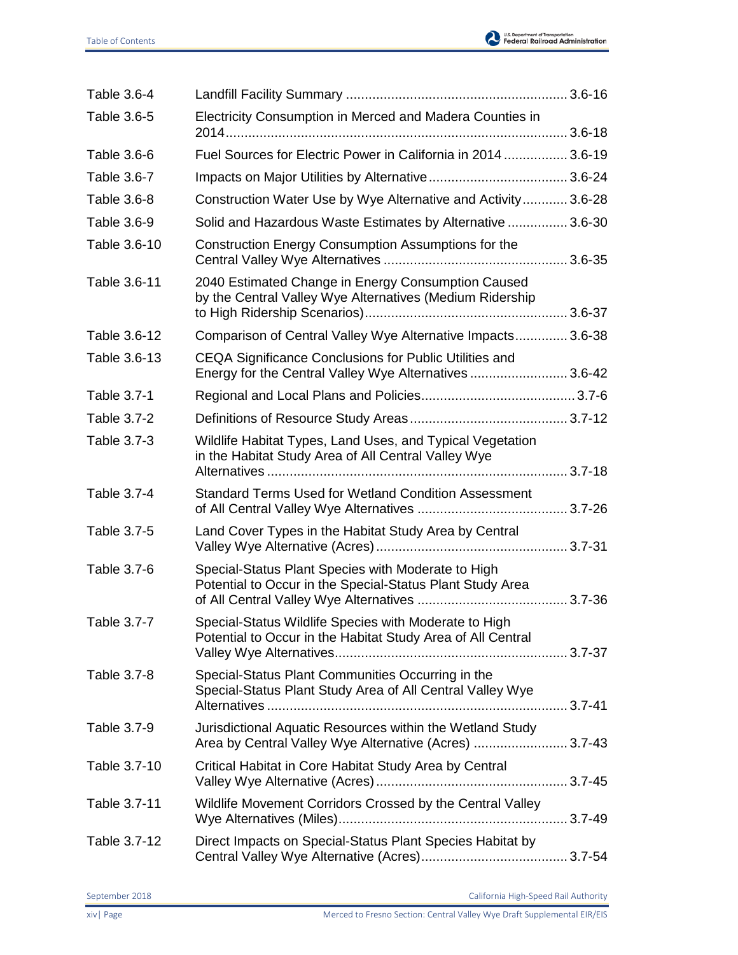

| Table 3.6-4  |                                                                                                                      |  |
|--------------|----------------------------------------------------------------------------------------------------------------------|--|
| Table 3.6-5  | Electricity Consumption in Merced and Madera Counties in                                                             |  |
| Table 3.6-6  | Fuel Sources for Electric Power in California in 2014 3.6-19                                                         |  |
| Table 3.6-7  |                                                                                                                      |  |
| Table 3.6-8  | Construction Water Use by Wye Alternative and Activity  3.6-28                                                       |  |
| Table 3.6-9  | Solid and Hazardous Waste Estimates by Alternative  3.6-30                                                           |  |
| Table 3.6-10 | Construction Energy Consumption Assumptions for the                                                                  |  |
| Table 3.6-11 | 2040 Estimated Change in Energy Consumption Caused<br>by the Central Valley Wye Alternatives (Medium Ridership       |  |
| Table 3.6-12 | Comparison of Central Valley Wye Alternative Impacts 3.6-38                                                          |  |
| Table 3.6-13 | CEQA Significance Conclusions for Public Utilities and<br>Energy for the Central Valley Wye Alternatives  3.6-42     |  |
| Table 3.7-1  |                                                                                                                      |  |
| Table 3.7-2  |                                                                                                                      |  |
| Table 3.7-3  | Wildlife Habitat Types, Land Uses, and Typical Vegetation<br>in the Habitat Study Area of All Central Valley Wye     |  |
| Table 3.7-4  | <b>Standard Terms Used for Wetland Condition Assessment</b>                                                          |  |
| Table 3.7-5  | Land Cover Types in the Habitat Study Area by Central                                                                |  |
| Table 3.7-6  | Special-Status Plant Species with Moderate to High<br>Potential to Occur in the Special-Status Plant Study Area      |  |
| Table 3.7-7  | Special-Status Wildlife Species with Moderate to High<br>Potential to Occur in the Habitat Study Area of All Central |  |
| Table 3.7-8  | Special-Status Plant Communities Occurring in the<br>Special-Status Plant Study Area of All Central Valley Wye       |  |
| Table 3.7-9  | Jurisdictional Aquatic Resources within the Wetland Study<br>Area by Central Valley Wye Alternative (Acres) 3.7-43   |  |
| Table 3.7-10 | Critical Habitat in Core Habitat Study Area by Central                                                               |  |
| Table 3.7-11 | Wildlife Movement Corridors Crossed by the Central Valley                                                            |  |
| Table 3.7-12 | Direct Impacts on Special-Status Plant Species Habitat by                                                            |  |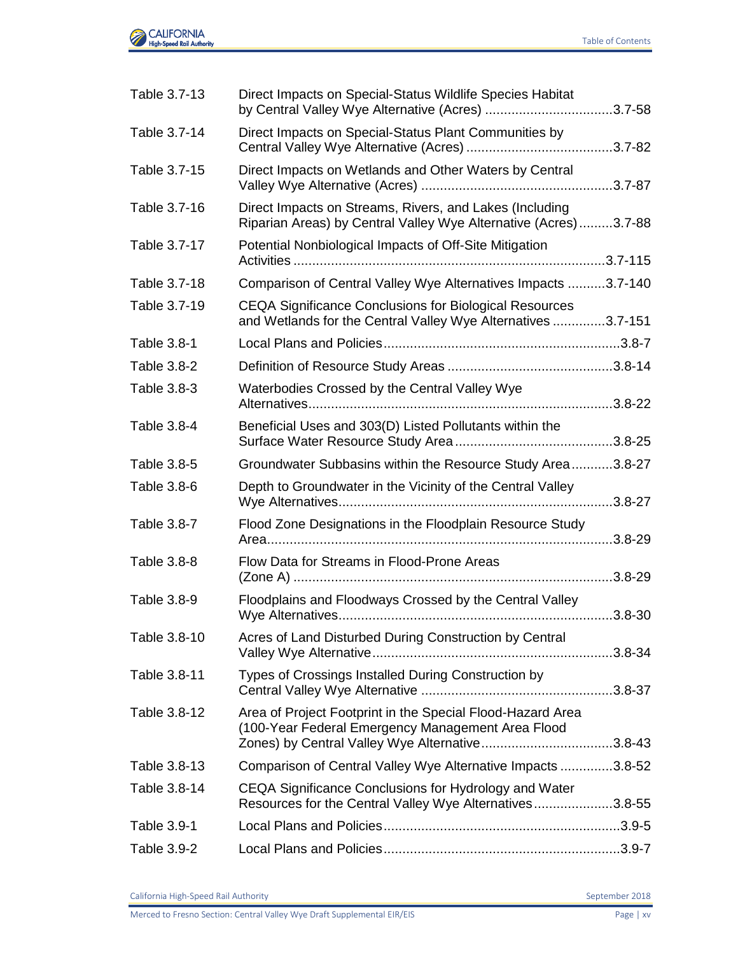

| Table 3.7-13 | Direct Impacts on Special-Status Wildlife Species Habitat<br>by Central Valley Wye Alternative (Acres) 3.7-58                                                     |  |
|--------------|-------------------------------------------------------------------------------------------------------------------------------------------------------------------|--|
| Table 3.7-14 | Direct Impacts on Special-Status Plant Communities by                                                                                                             |  |
| Table 3.7-15 | Direct Impacts on Wetlands and Other Waters by Central                                                                                                            |  |
| Table 3.7-16 | Direct Impacts on Streams, Rivers, and Lakes (Including<br>Riparian Areas) by Central Valley Wye Alternative (Acres)3.7-88                                        |  |
| Table 3.7-17 | Potential Nonbiological Impacts of Off-Site Mitigation                                                                                                            |  |
| Table 3.7-18 | Comparison of Central Valley Wye Alternatives Impacts 3.7-140                                                                                                     |  |
| Table 3.7-19 | <b>CEQA Significance Conclusions for Biological Resources</b><br>and Wetlands for the Central Valley Wye Alternatives 3.7-151                                     |  |
| Table 3.8-1  |                                                                                                                                                                   |  |
| Table 3.8-2  |                                                                                                                                                                   |  |
| Table 3.8-3  | Waterbodies Crossed by the Central Valley Wye                                                                                                                     |  |
| Table 3.8-4  | Beneficial Uses and 303(D) Listed Pollutants within the                                                                                                           |  |
| Table 3.8-5  | Groundwater Subbasins within the Resource Study Area3.8-27                                                                                                        |  |
| Table 3.8-6  | Depth to Groundwater in the Vicinity of the Central Valley                                                                                                        |  |
| Table 3.8-7  | Flood Zone Designations in the Floodplain Resource Study                                                                                                          |  |
| Table 3.8-8  | Flow Data for Streams in Flood-Prone Areas                                                                                                                        |  |
| Table 3.8-9  | Floodplains and Floodways Crossed by the Central Valley                                                                                                           |  |
| Table 3.8-10 | Acres of Land Disturbed During Construction by Central                                                                                                            |  |
| Table 3.8-11 | Types of Crossings Installed During Construction by                                                                                                               |  |
| Table 3.8-12 | Area of Project Footprint in the Special Flood-Hazard Area<br>(100-Year Federal Emergency Management Area Flood<br>Zones) by Central Valley Wye Alternative3.8-43 |  |
| Table 3.8-13 | Comparison of Central Valley Wye Alternative Impacts 3.8-52                                                                                                       |  |
| Table 3.8-14 | CEQA Significance Conclusions for Hydrology and Water<br>Resources for the Central Valley Wye Alternatives3.8-55                                                  |  |
| Table 3.9-1  |                                                                                                                                                                   |  |
| Table 3.9-2  |                                                                                                                                                                   |  |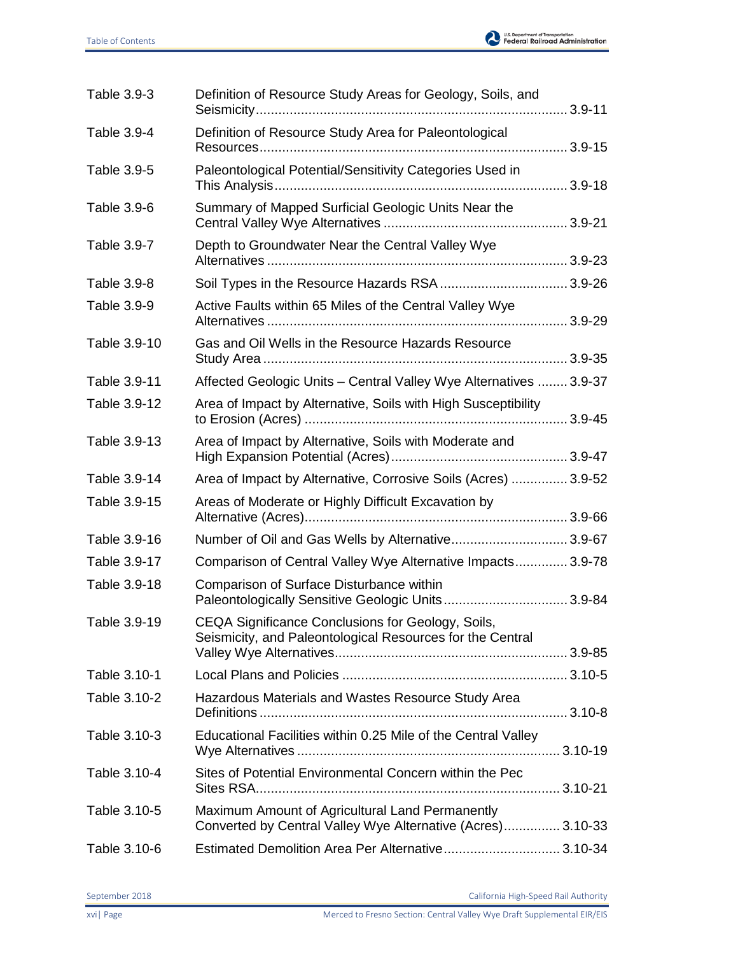

| Table 3.9-3  | Definition of Resource Study Areas for Geology, Soils, and                                                     |  |
|--------------|----------------------------------------------------------------------------------------------------------------|--|
| Table 3.9-4  | Definition of Resource Study Area for Paleontological                                                          |  |
| Table 3.9-5  | Paleontological Potential/Sensitivity Categories Used in                                                       |  |
| Table 3.9-6  | Summary of Mapped Surficial Geologic Units Near the                                                            |  |
| Table 3.9-7  | Depth to Groundwater Near the Central Valley Wye                                                               |  |
| Table 3.9-8  |                                                                                                                |  |
| Table 3.9-9  | Active Faults within 65 Miles of the Central Valley Wye                                                        |  |
| Table 3.9-10 | Gas and Oil Wells in the Resource Hazards Resource                                                             |  |
| Table 3.9-11 | Affected Geologic Units - Central Valley Wye Alternatives  3.9-37                                              |  |
| Table 3.9-12 | Area of Impact by Alternative, Soils with High Susceptibility                                                  |  |
| Table 3.9-13 | Area of Impact by Alternative, Soils with Moderate and                                                         |  |
| Table 3.9-14 | Area of Impact by Alternative, Corrosive Soils (Acres)  3.9-52                                                 |  |
| Table 3.9-15 | Areas of Moderate or Highly Difficult Excavation by                                                            |  |
| Table 3.9-16 | Number of Oil and Gas Wells by Alternative3.9-67                                                               |  |
| Table 3.9-17 | Comparison of Central Valley Wye Alternative Impacts 3.9-78                                                    |  |
| Table 3.9-18 | Comparison of Surface Disturbance within<br>Paleontologically Sensitive Geologic Units 3.9-84                  |  |
| Table 3.9-19 | CEQA Significance Conclusions for Geology, Soils,<br>Seismicity, and Paleontological Resources for the Central |  |
| Table 3.10-1 |                                                                                                                |  |
| Table 3.10-2 | Hazardous Materials and Wastes Resource Study Area                                                             |  |
| Table 3.10-3 | Educational Facilities within 0.25 Mile of the Central Valley                                                  |  |
| Table 3.10-4 | Sites of Potential Environmental Concern within the Pec                                                        |  |
| Table 3.10-5 | Maximum Amount of Agricultural Land Permanently<br>Converted by Central Valley Wye Alternative (Acres) 3.10-33 |  |
| Table 3.10-6 | Estimated Demolition Area Per Alternative 3.10-34                                                              |  |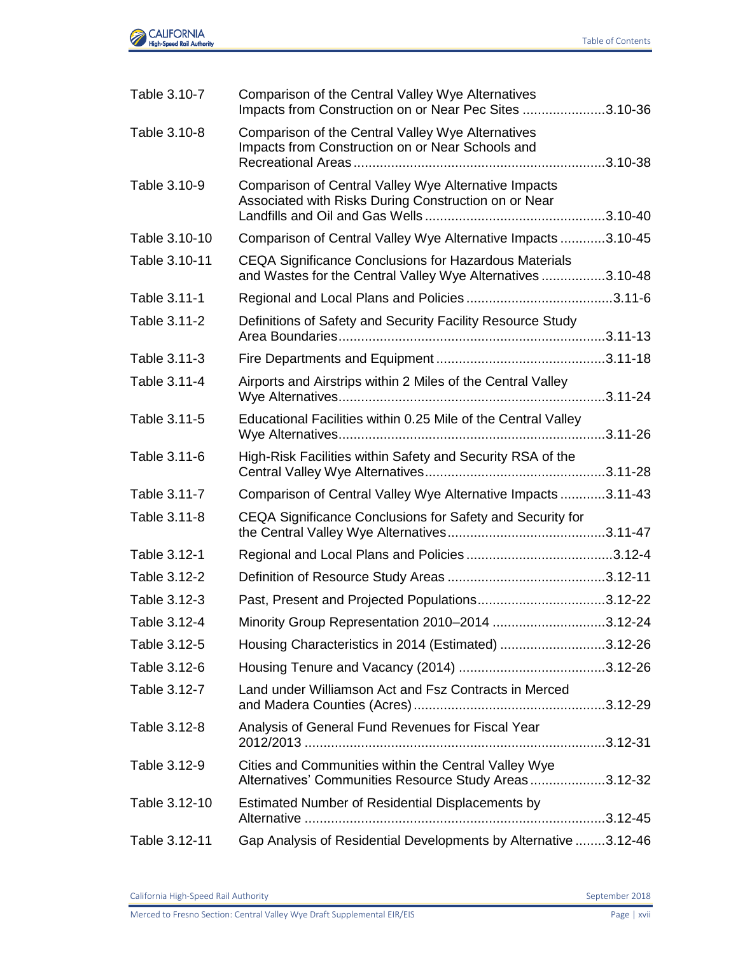

| Table 3.10-7  | Comparison of the Central Valley Wye Alternatives<br>Impacts from Construction on or Near Pec Sites 3.10-36                |  |
|---------------|----------------------------------------------------------------------------------------------------------------------------|--|
| Table 3.10-8  | Comparison of the Central Valley Wye Alternatives<br>Impacts from Construction on or Near Schools and                      |  |
| Table 3.10-9  | Comparison of Central Valley Wye Alternative Impacts<br>Associated with Risks During Construction on or Near               |  |
| Table 3.10-10 | Comparison of Central Valley Wye Alternative Impacts 3.10-45                                                               |  |
| Table 3.10-11 | <b>CEQA Significance Conclusions for Hazardous Materials</b><br>and Wastes for the Central Valley Wye Alternatives 3.10-48 |  |
| Table 3.11-1  |                                                                                                                            |  |
| Table 3.11-2  | Definitions of Safety and Security Facility Resource Study                                                                 |  |
| Table 3.11-3  |                                                                                                                            |  |
| Table 3.11-4  | Airports and Airstrips within 2 Miles of the Central Valley                                                                |  |
| Table 3.11-5  | Educational Facilities within 0.25 Mile of the Central Valley                                                              |  |
| Table 3.11-6  | High-Risk Facilities within Safety and Security RSA of the                                                                 |  |
| Table 3.11-7  | Comparison of Central Valley Wye Alternative Impacts3.11-43                                                                |  |
| Table 3.11-8  | CEQA Significance Conclusions for Safety and Security for                                                                  |  |
| Table 3.12-1  |                                                                                                                            |  |
| Table 3.12-2  |                                                                                                                            |  |
| Table 3.12-3  | Past, Present and Projected Populations3.12-22                                                                             |  |
| Table 3.12-4  | Minority Group Representation 2010-2014 3.12-24                                                                            |  |
| Table 3.12-5  | Housing Characteristics in 2014 (Estimated) 3.12-26                                                                        |  |
| Table 3.12-6  |                                                                                                                            |  |
| Table 3.12-7  | Land under Williamson Act and Fsz Contracts in Merced                                                                      |  |
| Table 3.12-8  | Analysis of General Fund Revenues for Fiscal Year                                                                          |  |
| Table 3.12-9  | Cities and Communities within the Central Valley Wye<br>Alternatives' Communities Resource Study Areas3.12-32              |  |
| Table 3.12-10 | Estimated Number of Residential Displacements by                                                                           |  |
| Table 3.12-11 | Gap Analysis of Residential Developments by Alternative 3.12-46                                                            |  |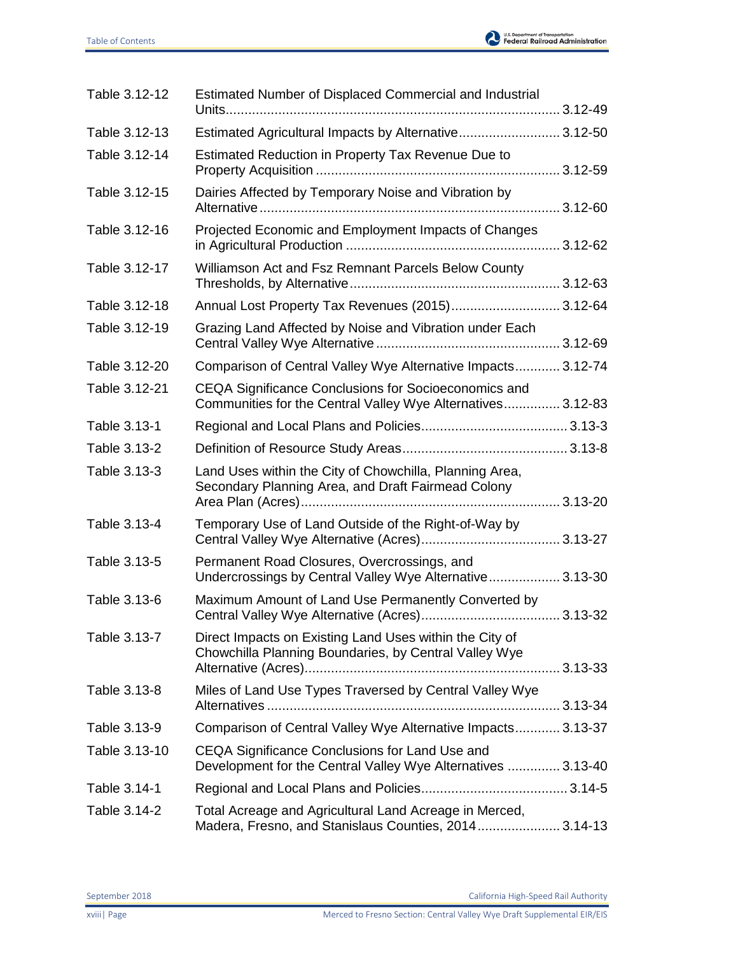

| Table 3.12-12 | Estimated Number of Displaced Commercial and Industrial                                                             |  |
|---------------|---------------------------------------------------------------------------------------------------------------------|--|
| Table 3.12-13 | Estimated Agricultural Impacts by Alternative 3.12-50                                                               |  |
| Table 3.12-14 | Estimated Reduction in Property Tax Revenue Due to                                                                  |  |
| Table 3.12-15 | Dairies Affected by Temporary Noise and Vibration by                                                                |  |
| Table 3.12-16 | Projected Economic and Employment Impacts of Changes                                                                |  |
| Table 3.12-17 | Williamson Act and Fsz Remnant Parcels Below County                                                                 |  |
| Table 3.12-18 | Annual Lost Property Tax Revenues (2015) 3.12-64                                                                    |  |
| Table 3.12-19 | Grazing Land Affected by Noise and Vibration under Each                                                             |  |
| Table 3.12-20 | Comparison of Central Valley Wye Alternative Impacts 3.12-74                                                        |  |
| Table 3.12-21 | CEQA Significance Conclusions for Socioeconomics and<br>Communities for the Central Valley Wye Alternatives 3.12-83 |  |
| Table 3.13-1  |                                                                                                                     |  |
| Table 3.13-2  |                                                                                                                     |  |
| Table 3.13-3  | Land Uses within the City of Chowchilla, Planning Area,<br>Secondary Planning Area, and Draft Fairmead Colony       |  |
| Table 3.13-4  | Temporary Use of Land Outside of the Right-of-Way by                                                                |  |
| Table 3.13-5  | Permanent Road Closures, Overcrossings, and<br>Undercrossings by Central Valley Wye Alternative 3.13-30             |  |
| Table 3.13-6  | Maximum Amount of Land Use Permanently Converted by                                                                 |  |
| Table 3.13-7  | Direct Impacts on Existing Land Uses within the City of<br>Chowchilla Planning Boundaries, by Central Valley Wye    |  |
| Table 3.13-8  | Miles of Land Use Types Traversed by Central Valley Wye                                                             |  |
| Table 3.13-9  | Comparison of Central Valley Wye Alternative Impacts 3.13-37                                                        |  |
| Table 3.13-10 | CEQA Significance Conclusions for Land Use and<br>Development for the Central Valley Wye Alternatives  3.13-40      |  |
| Table 3.14-1  |                                                                                                                     |  |
| Table 3.14-2  | Total Acreage and Agricultural Land Acreage in Merced,<br>Madera, Fresno, and Stanislaus Counties, 2014 3.14-13     |  |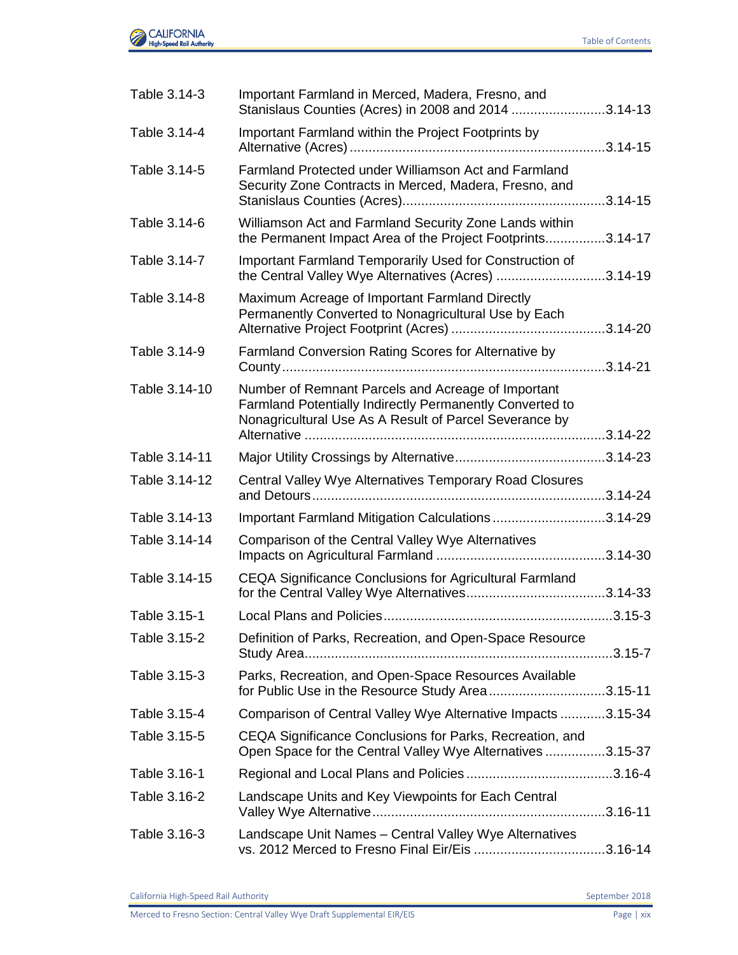

| Table 3.14-3  | Important Farmland in Merced, Madera, Fresno, and<br>Stanislaus Counties (Acres) in 2008 and 2014 3.14-13                                                                |              |
|---------------|--------------------------------------------------------------------------------------------------------------------------------------------------------------------------|--------------|
| Table 3.14-4  | Important Farmland within the Project Footprints by                                                                                                                      |              |
| Table 3.14-5  | Farmland Protected under Williamson Act and Farmland<br>Security Zone Contracts in Merced, Madera, Fresno, and                                                           |              |
| Table 3.14-6  | Williamson Act and Farmland Security Zone Lands within<br>the Permanent Impact Area of the Project Footprints3.14-17                                                     |              |
| Table 3.14-7  | Important Farmland Temporarily Used for Construction of<br>the Central Valley Wye Alternatives (Acres) 3.14-19                                                           |              |
| Table 3.14-8  | Maximum Acreage of Important Farmland Directly<br>Permanently Converted to Nonagricultural Use by Each                                                                   |              |
| Table 3.14-9  | Farmland Conversion Rating Scores for Alternative by                                                                                                                     |              |
| Table 3.14-10 | Number of Remnant Parcels and Acreage of Important<br>Farmland Potentially Indirectly Permanently Converted to<br>Nonagricultural Use As A Result of Parcel Severance by |              |
| Table 3.14-11 |                                                                                                                                                                          |              |
| Table 3.14-12 | Central Valley Wye Alternatives Temporary Road Closures                                                                                                                  |              |
| Table 3.14-13 | Important Farmland Mitigation Calculations3.14-29                                                                                                                        |              |
| Table 3.14-14 | Comparison of the Central Valley Wye Alternatives                                                                                                                        | $.3.14 - 30$ |
| Table 3.14-15 | <b>CEQA Significance Conclusions for Agricultural Farmland</b>                                                                                                           |              |
| Table 3.15-1  |                                                                                                                                                                          |              |
| Table 3.15-2  | Definition of Parks, Recreation, and Open-Space Resource                                                                                                                 | $.3.15 - 7$  |
| Table 3.15-3  | Parks, Recreation, and Open-Space Resources Available<br>for Public Use in the Resource Study Area3.15-11                                                                |              |
| Table 3.15-4  | Comparison of Central Valley Wye Alternative Impacts 3.15-34                                                                                                             |              |
| Table 3.15-5  | CEQA Significance Conclusions for Parks, Recreation, and<br>Open Space for the Central Valley Wye Alternatives3.15-37                                                    |              |
| Table 3.16-1  |                                                                                                                                                                          |              |
| Table 3.16-2  | Landscape Units and Key Viewpoints for Each Central                                                                                                                      |              |
| Table 3.16-3  | Landscape Unit Names - Central Valley Wye Alternatives<br>vs. 2012 Merced to Fresno Final Eir/Eis 3.16-14                                                                |              |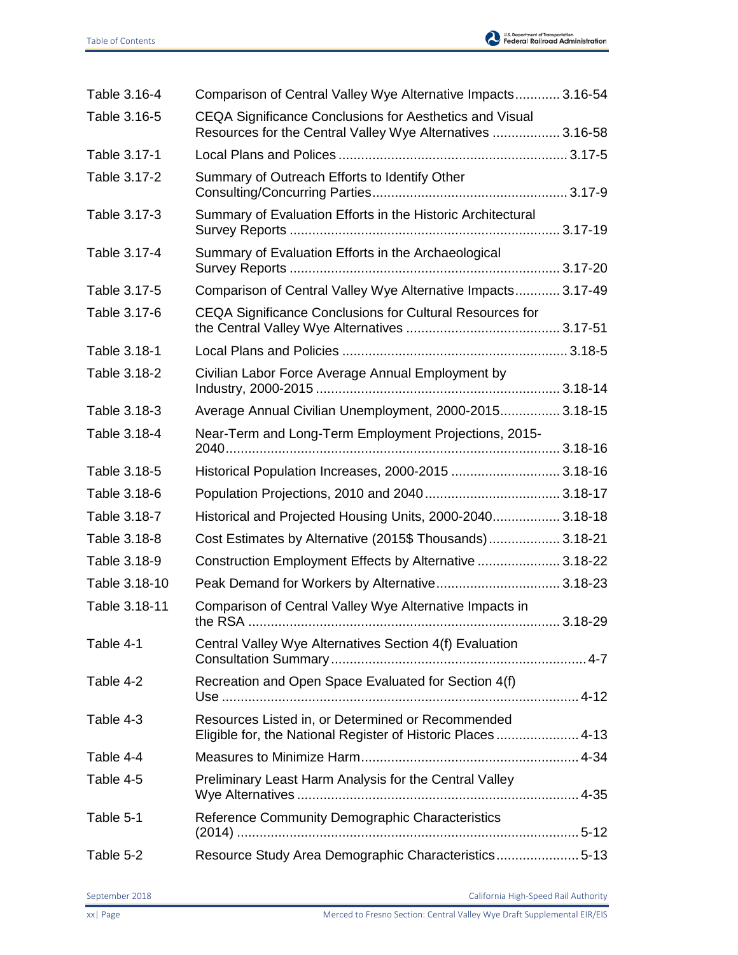

| Table 3.16-4  | Comparison of Central Valley Wye Alternative Impacts 3.16-54                                                          |         |
|---------------|-----------------------------------------------------------------------------------------------------------------------|---------|
| Table 3.16-5  | CEQA Significance Conclusions for Aesthetics and Visual<br>Resources for the Central Valley Wye Alternatives  3.16-58 |         |
| Table 3.17-1  |                                                                                                                       |         |
| Table 3.17-2  | Summary of Outreach Efforts to Identify Other                                                                         |         |
| Table 3.17-3  | Summary of Evaluation Efforts in the Historic Architectural                                                           |         |
| Table 3.17-4  | Summary of Evaluation Efforts in the Archaeological                                                                   |         |
| Table 3.17-5  | Comparison of Central Valley Wye Alternative Impacts 3.17-49                                                          |         |
| Table 3.17-6  | CEQA Significance Conclusions for Cultural Resources for                                                              |         |
| Table 3.18-1  |                                                                                                                       |         |
| Table 3.18-2  | Civilian Labor Force Average Annual Employment by                                                                     |         |
| Table 3.18-3  | Average Annual Civilian Unemployment, 2000-2015 3.18-15                                                               |         |
| Table 3.18-4  | Near-Term and Long-Term Employment Projections, 2015-                                                                 |         |
| Table 3.18-5  | Historical Population Increases, 2000-2015  3.18-16                                                                   |         |
| Table 3.18-6  |                                                                                                                       |         |
| Table 3.18-7  | Historical and Projected Housing Units, 2000-2040 3.18-18                                                             |         |
| Table 3.18-8  | Cost Estimates by Alternative (2015\$ Thousands) 3.18-21                                                              |         |
| Table 3.18-9  | Construction Employment Effects by Alternative  3.18-22                                                               |         |
| Table 3.18-10 |                                                                                                                       |         |
| Table 3.18-11 | Comparison of Central Valley Wye Alternative Impacts in<br>the RSA.                                                   | 3.18-29 |
| Table 4-1     | Central Valley Wye Alternatives Section 4(f) Evaluation                                                               |         |
| Table 4-2     | Recreation and Open Space Evaluated for Section 4(f)                                                                  |         |
| Table 4-3     | Resources Listed in, or Determined or Recommended<br>Eligible for, the National Register of Historic Places 4-13      |         |
| Table 4-4     |                                                                                                                       |         |
| Table 4-5     | Preliminary Least Harm Analysis for the Central Valley                                                                |         |
| Table 5-1     | Reference Community Demographic Characteristics                                                                       |         |
| Table 5-2     | Resource Study Area Demographic Characteristics5-13                                                                   |         |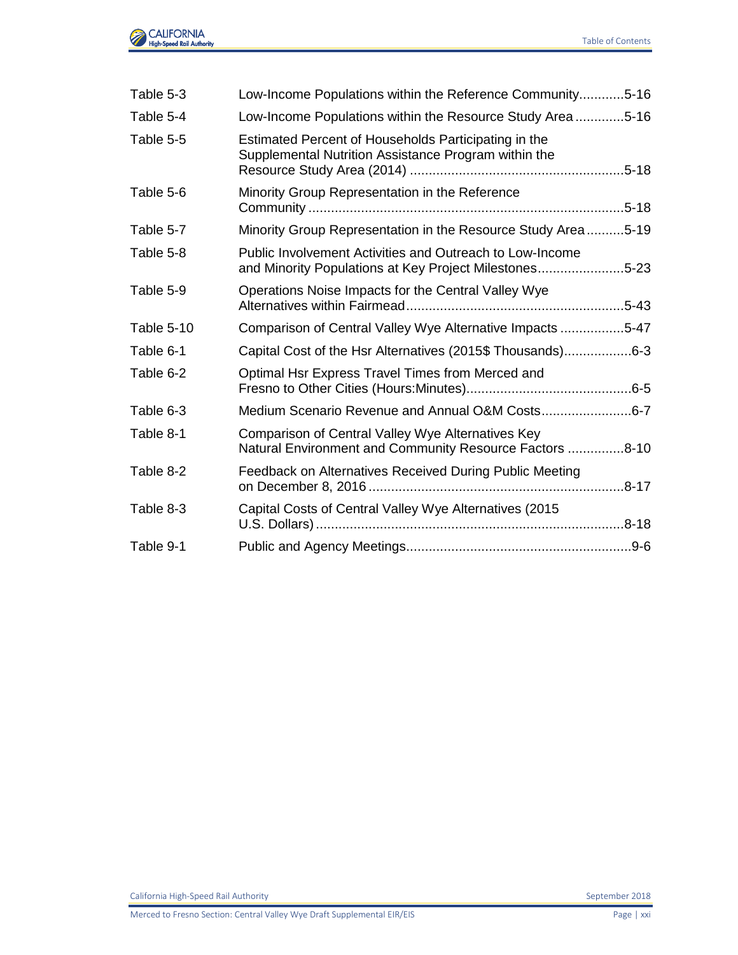| Table 5-3  | Low-Income Populations within the Reference Community5-16                                                          |  |
|------------|--------------------------------------------------------------------------------------------------------------------|--|
| Table 5-4  | Low-Income Populations within the Resource Study Area5-16                                                          |  |
| Table 5-5  | Estimated Percent of Households Participating in the<br>Supplemental Nutrition Assistance Program within the       |  |
| Table 5-6  | Minority Group Representation in the Reference                                                                     |  |
| Table 5-7  | Minority Group Representation in the Resource Study Area5-19                                                       |  |
| Table 5-8  | Public Involvement Activities and Outreach to Low-Income<br>and Minority Populations at Key Project Milestones5-23 |  |
| Table 5-9  | Operations Noise Impacts for the Central Valley Wye                                                                |  |
| Table 5-10 | Comparison of Central Valley Wye Alternative Impacts 5-47                                                          |  |
| Table 6-1  | Capital Cost of the Hsr Alternatives (2015\$ Thousands)6-3                                                         |  |
| Table 6-2  | Optimal Hsr Express Travel Times from Merced and                                                                   |  |
| Table 6-3  | Medium Scenario Revenue and Annual O&M Costs6-7                                                                    |  |
| Table 8-1  | Comparison of Central Valley Wye Alternatives Key<br>Natural Environment and Community Resource Factors 8-10       |  |
| Table 8-2  | Feedback on Alternatives Received During Public Meeting                                                            |  |
| Table 8-3  | Capital Costs of Central Valley Wye Alternatives (2015                                                             |  |
| Table 9-1  |                                                                                                                    |  |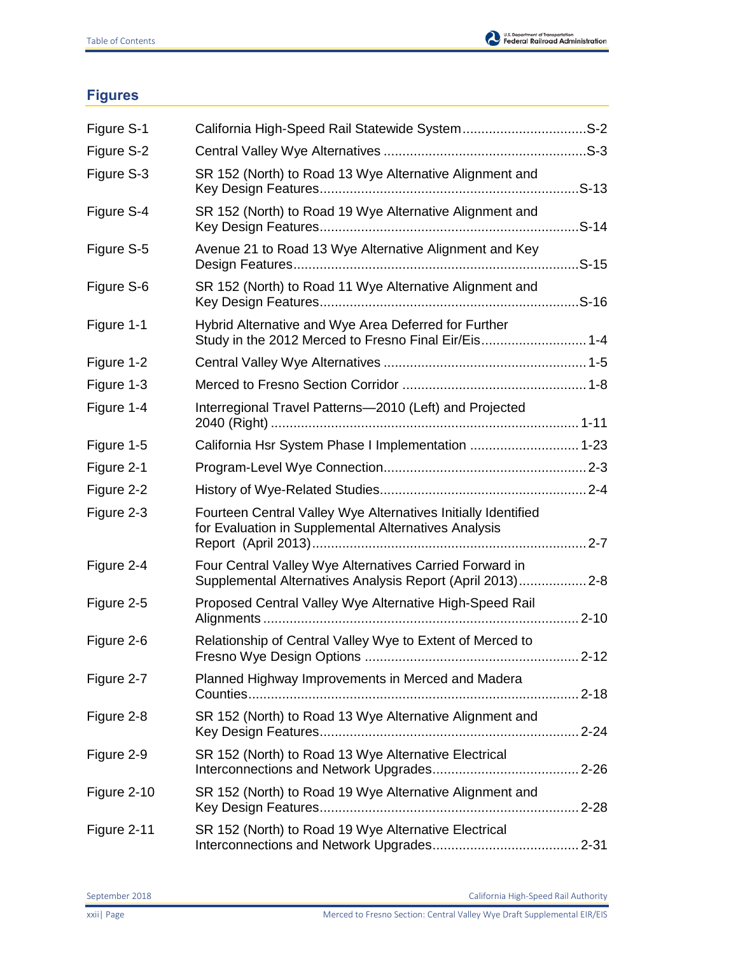

## **Figures**

| Figure S-1  | California High-Speed Rail Statewide SystemS-2                                                                        |       |
|-------------|-----------------------------------------------------------------------------------------------------------------------|-------|
| Figure S-2  |                                                                                                                       |       |
| Figure S-3  | SR 152 (North) to Road 13 Wye Alternative Alignment and                                                               |       |
| Figure S-4  | SR 152 (North) to Road 19 Wye Alternative Alignment and                                                               | .S-14 |
| Figure S-5  | Avenue 21 to Road 13 Wye Alternative Alignment and Key                                                                |       |
| Figure S-6  | SR 152 (North) to Road 11 Wye Alternative Alignment and                                                               |       |
| Figure 1-1  | Hybrid Alternative and Wye Area Deferred for Further<br>Study in the 2012 Merced to Fresno Final Eir/Eis 1-4          |       |
| Figure 1-2  |                                                                                                                       |       |
| Figure 1-3  |                                                                                                                       |       |
| Figure 1-4  | Interregional Travel Patterns-2010 (Left) and Projected                                                               |       |
| Figure 1-5  | California Hsr System Phase I Implementation  1-23                                                                    |       |
| Figure 2-1  |                                                                                                                       |       |
| Figure 2-2  |                                                                                                                       |       |
| Figure 2-3  | Fourteen Central Valley Wye Alternatives Initially Identified<br>for Evaluation in Supplemental Alternatives Analysis |       |
| Figure 2-4  | Four Central Valley Wye Alternatives Carried Forward in<br>Supplemental Alternatives Analysis Report (April 2013) 2-8 |       |
| Figure 2-5  | Proposed Central Valley Wye Alternative High-Speed Rail                                                               |       |
| Figure 2-6  | Relationship of Central Valley Wye to Extent of Merced to                                                             |       |
| Figure 2-7  | Planned Highway Improvements in Merced and Madera                                                                     |       |
| Figure 2-8  | SR 152 (North) to Road 13 Wye Alternative Alignment and                                                               |       |
| Figure 2-9  | SR 152 (North) to Road 13 Wye Alternative Electrical                                                                  |       |
| Figure 2-10 | SR 152 (North) to Road 19 Wye Alternative Alignment and                                                               |       |
| Figure 2-11 | SR 152 (North) to Road 19 Wye Alternative Electrical                                                                  |       |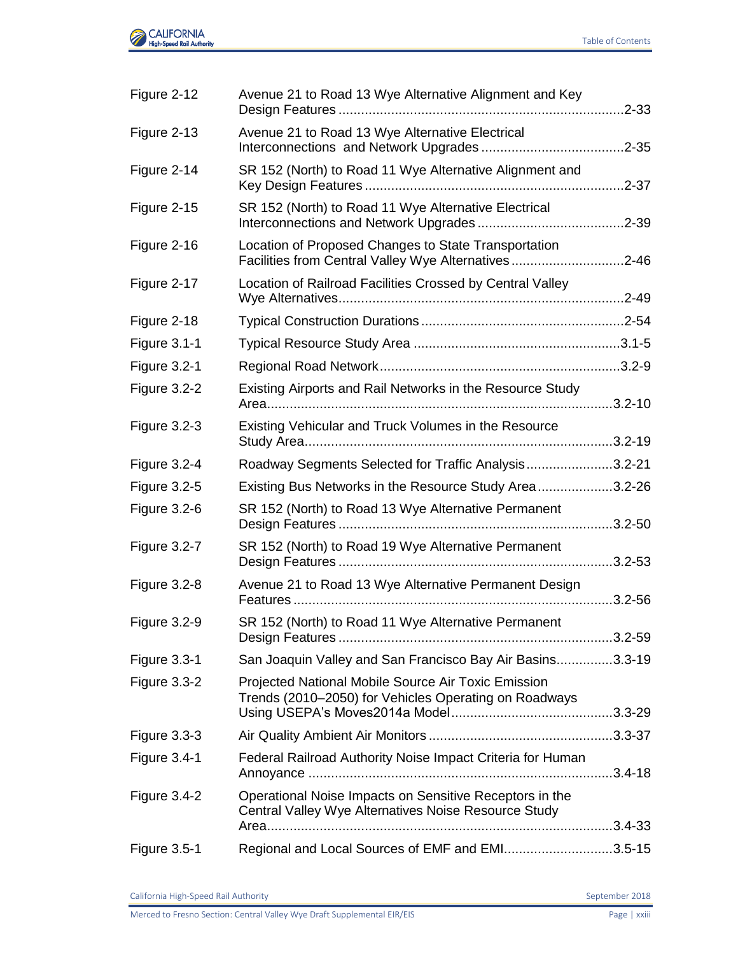

| Figure 2-12         | Avenue 21 to Road 13 Wye Alternative Alignment and Key                                                          | .2-33       |
|---------------------|-----------------------------------------------------------------------------------------------------------------|-------------|
| Figure 2-13         | Avenue 21 to Road 13 Wye Alternative Electrical                                                                 | .2-35       |
| Figure 2-14         | SR 152 (North) to Road 11 Wye Alternative Alignment and                                                         | $.2 - 37$   |
| Figure 2-15         | SR 152 (North) to Road 11 Wye Alternative Electrical                                                            | $.2 - 39$   |
| Figure 2-16         | Location of Proposed Changes to State Transportation<br>Facilities from Central Valley Wye Alternatives2-46     |             |
| Figure 2-17         | Location of Railroad Facilities Crossed by Central Valley                                                       | $.2 - 49$   |
| Figure 2-18         |                                                                                                                 |             |
| Figure 3.1-1        |                                                                                                                 |             |
| <b>Figure 3.2-1</b> |                                                                                                                 |             |
| Figure 3.2-2        | Existing Airports and Rail Networks in the Resource Study                                                       | $.3.2 - 10$ |
| Figure 3.2-3        | Existing Vehicular and Truck Volumes in the Resource                                                            |             |
| Figure 3.2-4        | Roadway Segments Selected for Traffic Analysis3.2-21                                                            |             |
| Figure 3.2-5        | Existing Bus Networks in the Resource Study Area3.2-26                                                          |             |
| Figure 3.2-6        | SR 152 (North) to Road 13 Wye Alternative Permanent                                                             |             |
| Figure 3.2-7        | SR 152 (North) to Road 19 Wye Alternative Permanent                                                             |             |
| Figure 3.2-8        | Avenue 21 to Road 13 Wye Alternative Permanent Design                                                           | $.3.2 - 56$ |
| Figure 3.2-9        | SR 152 (North) to Road 11 Wye Alternative Permanent                                                             |             |
| Figure 3.3-1        | San Joaquin Valley and San Francisco Bay Air Basins3.3-19                                                       |             |
| <b>Figure 3.3-2</b> | Projected National Mobile Source Air Toxic Emission<br>Trends (2010–2050) for Vehicles Operating on Roadways    |             |
| <b>Figure 3.3-3</b> |                                                                                                                 |             |
| Figure 3.4-1        | Federal Railroad Authority Noise Impact Criteria for Human                                                      |             |
| Figure 3.4-2        | Operational Noise Impacts on Sensitive Receptors in the<br>Central Valley Wye Alternatives Noise Resource Study |             |
|                     |                                                                                                                 |             |
| Figure 3.5-1        | Regional and Local Sources of EMF and EMI3.5-15                                                                 |             |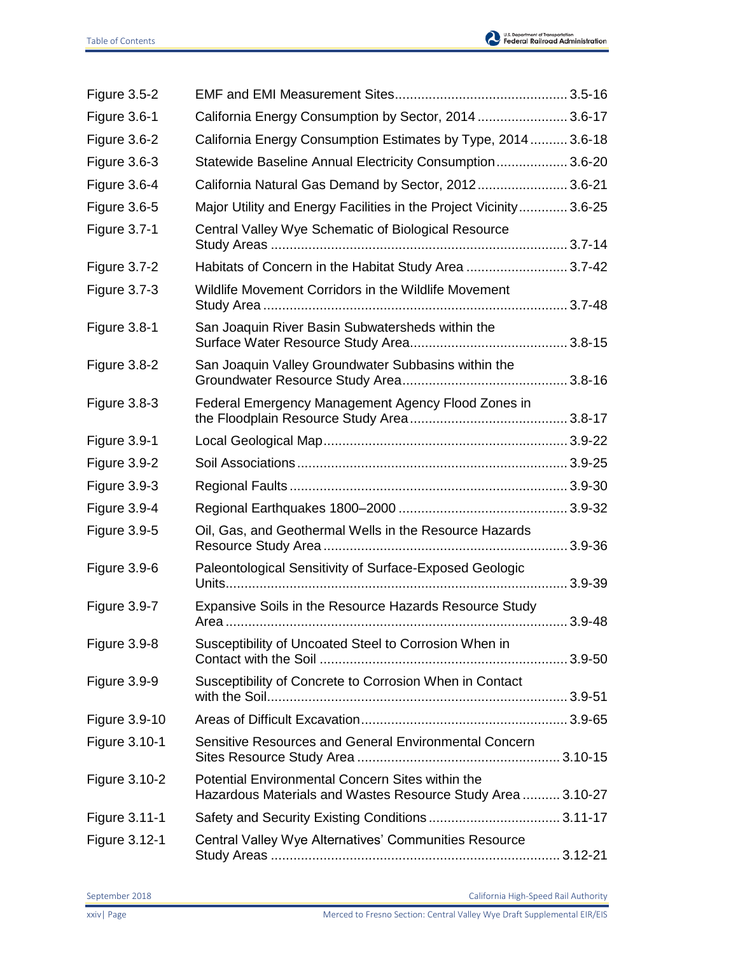

| <b>Figure 3.5-2</b>  |                                                                                                                 |            |
|----------------------|-----------------------------------------------------------------------------------------------------------------|------------|
| Figure 3.6-1         | California Energy Consumption by Sector, 2014  3.6-17                                                           |            |
| Figure 3.6-2         | California Energy Consumption Estimates by Type, 2014 3.6-18                                                    |            |
| <b>Figure 3.6-3</b>  | Statewide Baseline Annual Electricity Consumption 3.6-20                                                        |            |
| Figure 3.6-4         | California Natural Gas Demand by Sector, 2012 3.6-21                                                            |            |
| <b>Figure 3.6-5</b>  | Major Utility and Energy Facilities in the Project Vicinity 3.6-25                                              |            |
| <b>Figure 3.7-1</b>  | Central Valley Wye Schematic of Biological Resource                                                             |            |
| <b>Figure 3.7-2</b>  | Habitats of Concern in the Habitat Study Area 3.7-42                                                            |            |
| <b>Figure 3.7-3</b>  | Wildlife Movement Corridors in the Wildlife Movement                                                            |            |
| Figure 3.8-1         | San Joaquin River Basin Subwatersheds within the                                                                |            |
| Figure 3.8-2         | San Joaquin Valley Groundwater Subbasins within the                                                             |            |
| Figure 3.8-3         | Federal Emergency Management Agency Flood Zones in                                                              |            |
| Figure 3.9-1         |                                                                                                                 |            |
| Figure 3.9-2         |                                                                                                                 |            |
| Figure 3.9-3         |                                                                                                                 |            |
| Figure 3.9-4         |                                                                                                                 |            |
| <b>Figure 3.9-5</b>  | Oil, Gas, and Geothermal Wells in the Resource Hazards                                                          |            |
| Figure 3.9-6         | Paleontological Sensitivity of Surface-Exposed Geologic                                                         |            |
| Figure 3.9-7         | Expansive Soils in the Resource Hazards Resource Study                                                          | $3.9 - 48$ |
| Figure 3.9-8         | Susceptibility of Uncoated Steel to Corrosion When in                                                           |            |
| Figure 3.9-9         | Susceptibility of Concrete to Corrosion When in Contact                                                         |            |
| <b>Figure 3.9-10</b> |                                                                                                                 |            |
| Figure 3.10-1        | Sensitive Resources and General Environmental Concern                                                           |            |
| Figure 3.10-2        | Potential Environmental Concern Sites within the<br>Hazardous Materials and Wastes Resource Study Area  3.10-27 |            |
| Figure 3.11-1        |                                                                                                                 |            |
| Figure 3.12-1        | Central Valley Wye Alternatives' Communities Resource                                                           |            |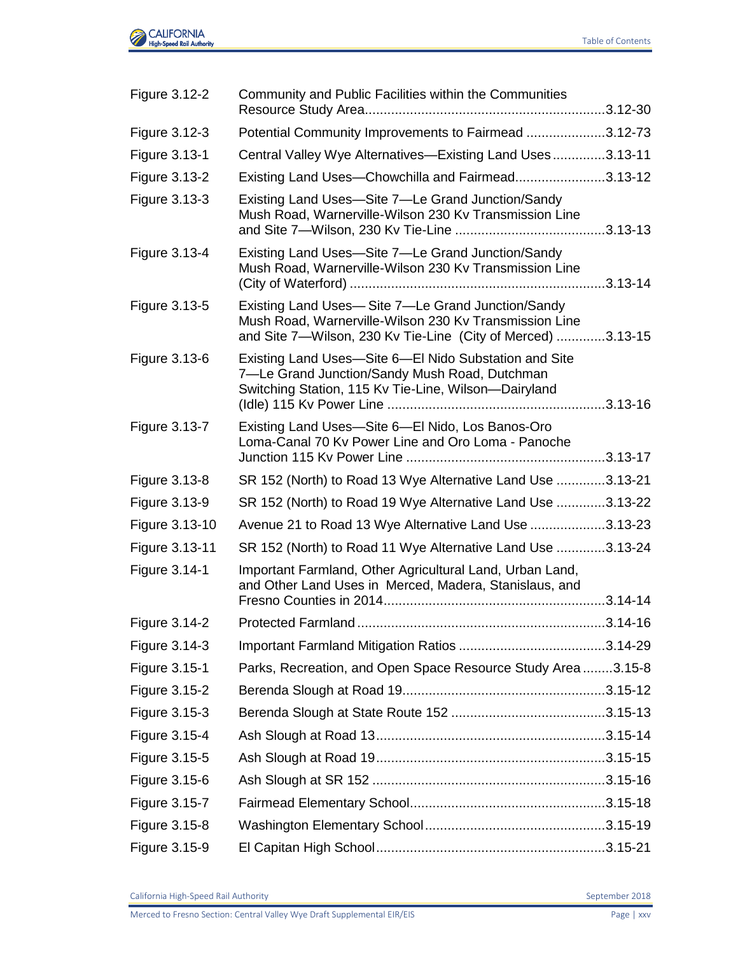

| Figure 3.12-2  | Community and Public Facilities within the Communities                                                                                                                     |  |
|----------------|----------------------------------------------------------------------------------------------------------------------------------------------------------------------------|--|
| Figure 3.12-3  | Potential Community Improvements to Fairmead 3.12-73                                                                                                                       |  |
| Figure 3.13-1  | Central Valley Wye Alternatives-Existing Land Uses3.13-11                                                                                                                  |  |
| Figure 3.13-2  | Existing Land Uses-Chowchilla and Fairmead3.13-12                                                                                                                          |  |
| Figure 3.13-3  | Existing Land Uses-Site 7-Le Grand Junction/Sandy<br>Mush Road, Warnerville-Wilson 230 Kv Transmission Line                                                                |  |
| Figure 3.13-4  | Existing Land Uses-Site 7-Le Grand Junction/Sandy<br>Mush Road, Warnerville-Wilson 230 Kv Transmission Line                                                                |  |
| Figure 3.13-5  | Existing Land Uses-Site 7-Le Grand Junction/Sandy<br>Mush Road, Warnerville-Wilson 230 Kv Transmission Line<br>and Site 7-Wilson, 230 Kv Tie-Line (City of Merced) 3.13-15 |  |
| Figure 3.13-6  | Existing Land Uses-Site 6-El Nido Substation and Site<br>7-Le Grand Junction/Sandy Mush Road, Dutchman<br>Switching Station, 115 Kv Tie-Line, Wilson-Dairyland             |  |
| Figure 3.13-7  | Existing Land Uses-Site 6-El Nido, Los Banos-Oro<br>Loma-Canal 70 Kv Power Line and Oro Loma - Panoche                                                                     |  |
| Figure 3.13-8  | SR 152 (North) to Road 13 Wye Alternative Land Use 3.13-21                                                                                                                 |  |
| Figure 3.13-9  | SR 152 (North) to Road 19 Wye Alternative Land Use 3.13-22                                                                                                                 |  |
| Figure 3.13-10 | Avenue 21 to Road 13 Wye Alternative Land Use 3.13-23                                                                                                                      |  |
| Figure 3.13-11 | SR 152 (North) to Road 11 Wye Alternative Land Use 3.13-24                                                                                                                 |  |
| Figure 3.14-1  | Important Farmland, Other Agricultural Land, Urban Land,<br>and Other Land Uses in Merced, Madera, Stanislaus, and                                                         |  |
| Figure 3.14-2  |                                                                                                                                                                            |  |
| Figure 3.14-3  |                                                                                                                                                                            |  |
| Figure 3.15-1  | Parks, Recreation, and Open Space Resource Study Area3.15-8                                                                                                                |  |
| Figure 3.15-2  |                                                                                                                                                                            |  |
| Figure 3.15-3  |                                                                                                                                                                            |  |
| Figure 3.15-4  |                                                                                                                                                                            |  |
| Figure 3.15-5  |                                                                                                                                                                            |  |
| Figure 3.15-6  |                                                                                                                                                                            |  |
| Figure 3.15-7  |                                                                                                                                                                            |  |
| Figure 3.15-8  |                                                                                                                                                                            |  |
| Figure 3.15-9  |                                                                                                                                                                            |  |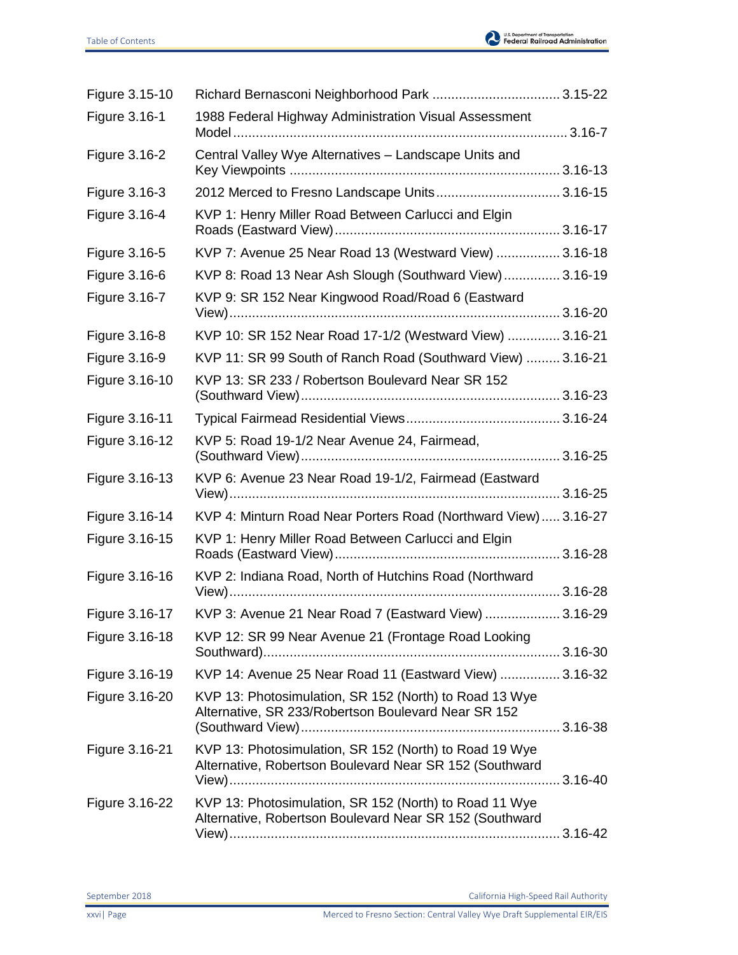| Figure 3.15-10 |                                                                                                                   |  |
|----------------|-------------------------------------------------------------------------------------------------------------------|--|
| Figure 3.16-1  | 1988 Federal Highway Administration Visual Assessment                                                             |  |
| Figure 3.16-2  | Central Valley Wye Alternatives - Landscape Units and                                                             |  |
| Figure 3.16-3  | 2012 Merced to Fresno Landscape Units 3.16-15                                                                     |  |
| Figure 3.16-4  | KVP 1: Henry Miller Road Between Carlucci and Elgin                                                               |  |
| Figure 3.16-5  | KVP 7: Avenue 25 Near Road 13 (Westward View)  3.16-18                                                            |  |
| Figure 3.16-6  | KVP 8: Road 13 Near Ash Slough (Southward View) 3.16-19                                                           |  |
| Figure 3.16-7  | KVP 9: SR 152 Near Kingwood Road/Road 6 (Eastward                                                                 |  |
| Figure 3.16-8  | KVP 10: SR 152 Near Road 17-1/2 (Westward View)  3.16-21                                                          |  |
| Figure 3.16-9  | KVP 11: SR 99 South of Ranch Road (Southward View)  3.16-21                                                       |  |
| Figure 3.16-10 | KVP 13: SR 233 / Robertson Boulevard Near SR 152                                                                  |  |
| Figure 3.16-11 |                                                                                                                   |  |
| Figure 3.16-12 | KVP 5: Road 19-1/2 Near Avenue 24, Fairmead,                                                                      |  |
| Figure 3.16-13 | KVP 6: Avenue 23 Near Road 19-1/2, Fairmead (Eastward                                                             |  |
| Figure 3.16-14 | KVP 4: Minturn Road Near Porters Road (Northward View) 3.16-27                                                    |  |
| Figure 3.16-15 | KVP 1: Henry Miller Road Between Carlucci and Elgin                                                               |  |
| Figure 3.16-16 | KVP 2: Indiana Road, North of Hutchins Road (Northward                                                            |  |
| Figure 3.16-17 | KVP 3: Avenue 21 Near Road 7 (Eastward View)  3.16-29                                                             |  |
| Figure 3.16-18 | KVP 12: SR 99 Near Avenue 21 (Frontage Road Looking                                                               |  |
| Figure 3.16-19 | KVP 14: Avenue 25 Near Road 11 (Eastward View)  3.16-32                                                           |  |
| Figure 3.16-20 | KVP 13: Photosimulation, SR 152 (North) to Road 13 Wye<br>Alternative, SR 233/Robertson Boulevard Near SR 152     |  |
| Figure 3.16-21 | KVP 13: Photosimulation, SR 152 (North) to Road 19 Wye<br>Alternative, Robertson Boulevard Near SR 152 (Southward |  |
| Figure 3.16-22 | KVP 13: Photosimulation, SR 152 (North) to Road 11 Wye<br>Alternative, Robertson Boulevard Near SR 152 (Southward |  |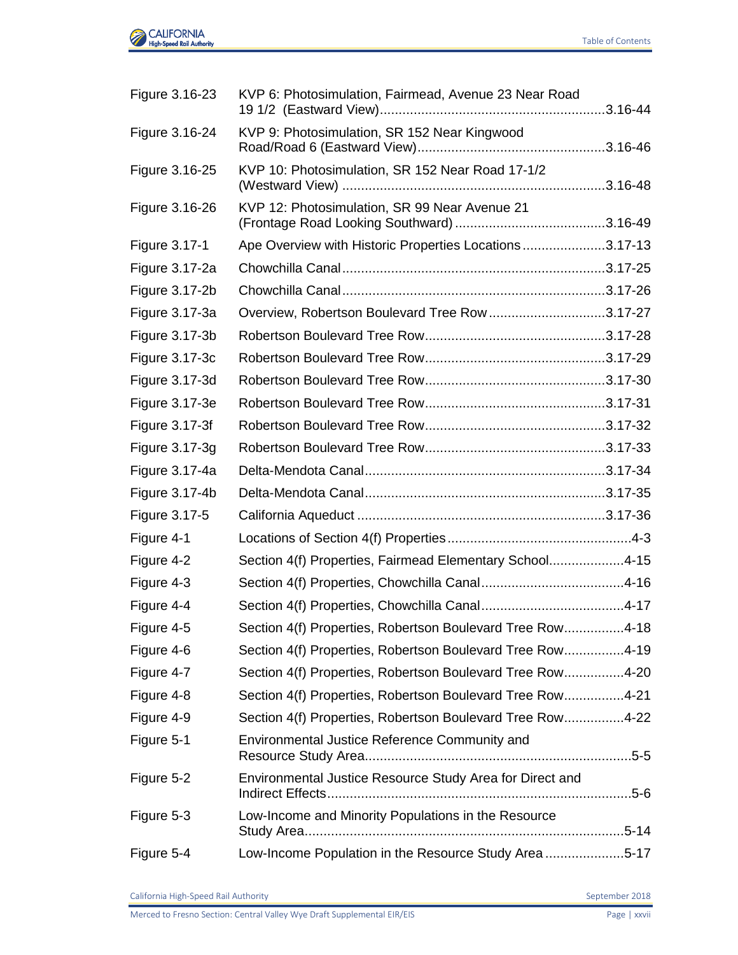

| Figure 3.16-23 | KVP 6: Photosimulation, Fairmead, Avenue 23 Near Road     |  |
|----------------|-----------------------------------------------------------|--|
| Figure 3.16-24 | KVP 9: Photosimulation, SR 152 Near Kingwood              |  |
| Figure 3.16-25 | KVP 10: Photosimulation, SR 152 Near Road 17-1/2          |  |
| Figure 3.16-26 | KVP 12: Photosimulation, SR 99 Near Avenue 21             |  |
| Figure 3.17-1  | Ape Overview with Historic Properties Locations3.17-13    |  |
| Figure 3.17-2a |                                                           |  |
| Figure 3.17-2b |                                                           |  |
| Figure 3.17-3a | Overview, Robertson Boulevard Tree Row 3.17-27            |  |
| Figure 3.17-3b |                                                           |  |
| Figure 3.17-3c |                                                           |  |
| Figure 3.17-3d |                                                           |  |
| Figure 3.17-3e |                                                           |  |
| Figure 3.17-3f |                                                           |  |
| Figure 3.17-3g |                                                           |  |
| Figure 3.17-4a |                                                           |  |
| Figure 3.17-4b |                                                           |  |
| Figure 3.17-5  |                                                           |  |
| Figure 4-1     |                                                           |  |
| Figure 4-2     | Section 4(f) Properties, Fairmead Elementary School4-15   |  |
| Figure 4-3     |                                                           |  |
| Figure 4-4     |                                                           |  |
| Figure 4-5     | Section 4(f) Properties, Robertson Boulevard Tree Row4-18 |  |
| Figure 4-6     | Section 4(f) Properties, Robertson Boulevard Tree Row4-19 |  |
| Figure 4-7     | Section 4(f) Properties, Robertson Boulevard Tree Row4-20 |  |
| Figure 4-8     | Section 4(f) Properties, Robertson Boulevard Tree Row4-21 |  |
| Figure 4-9     | Section 4(f) Properties, Robertson Boulevard Tree Row4-22 |  |
| Figure 5-1     | Environmental Justice Reference Community and             |  |
| Figure 5-2     | Environmental Justice Resource Study Area for Direct and  |  |
| Figure 5-3     | Low-Income and Minority Populations in the Resource       |  |
| Figure 5-4     | Low-Income Population in the Resource Study Area 5-17     |  |